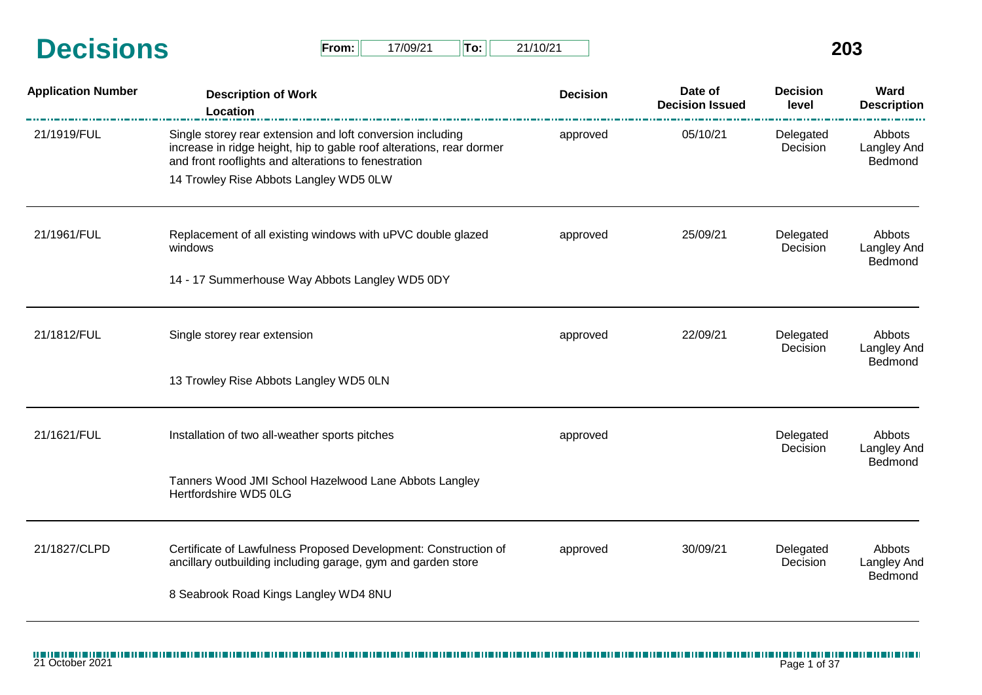| <b>Decisions</b> | From: | 7/09/21 | Tor1 | 21/10/21 | 203 |
|------------------|-------|---------|------|----------|-----|
|                  |       |         |      |          |     |

| $From: \mathbb{I}$ | 17/09/21 | $\parallel$ To: | 21/10/21 |
|--------------------|----------|-----------------|----------|
|--------------------|----------|-----------------|----------|

| <b>Application Number</b> | <b>Description of Work</b><br>Location                                                                                                                                                     | <b>Decision</b> | Date of<br><b>Decision Issued</b> | <b>Decision</b><br>level | Ward<br><b>Description</b>              |
|---------------------------|--------------------------------------------------------------------------------------------------------------------------------------------------------------------------------------------|-----------------|-----------------------------------|--------------------------|-----------------------------------------|
| 21/1919/FUL               | Single storey rear extension and loft conversion including<br>increase in ridge height, hip to gable roof alterations, rear dormer<br>and front rooflights and alterations to fenestration | approved        | 05/10/21                          | Delegated<br>Decision    | Abbots<br>Langley And<br>Bedmond        |
|                           | 14 Trowley Rise Abbots Langley WD5 0LW                                                                                                                                                     |                 |                                   |                          |                                         |
| 21/1961/FUL               | Replacement of all existing windows with uPVC double glazed<br>windows                                                                                                                     | approved        | 25/09/21                          | Delegated<br>Decision    | Abbots<br><b>Langley And</b><br>Bedmond |
|                           | 14 - 17 Summerhouse Way Abbots Langley WD5 0DY                                                                                                                                             |                 |                                   |                          |                                         |
| 21/1812/FUL               | Single storey rear extension                                                                                                                                                               | approved        | 22/09/21                          | Delegated<br>Decision    | Abbots<br>Langley And<br>Bedmond        |
|                           | 13 Trowley Rise Abbots Langley WD5 0LN                                                                                                                                                     |                 |                                   |                          |                                         |
| 21/1621/FUL               | Installation of two all-weather sports pitches                                                                                                                                             | approved        |                                   | Delegated<br>Decision    | Abbots<br>Langley And                   |
|                           | Tanners Wood JMI School Hazelwood Lane Abbots Langley<br>Hertfordshire WD5 0LG                                                                                                             |                 |                                   |                          | Bedmond                                 |
| 21/1827/CLPD              | Certificate of Lawfulness Proposed Development: Construction of<br>ancillary outbuilding including garage, gym and garden store                                                            | approved        | 30/09/21                          | Delegated<br>Decision    | Abbots<br><b>Langley And</b><br>Bedmond |
|                           | 8 Seabrook Road Kings Langley WD4 8NU                                                                                                                                                      |                 |                                   |                          |                                         |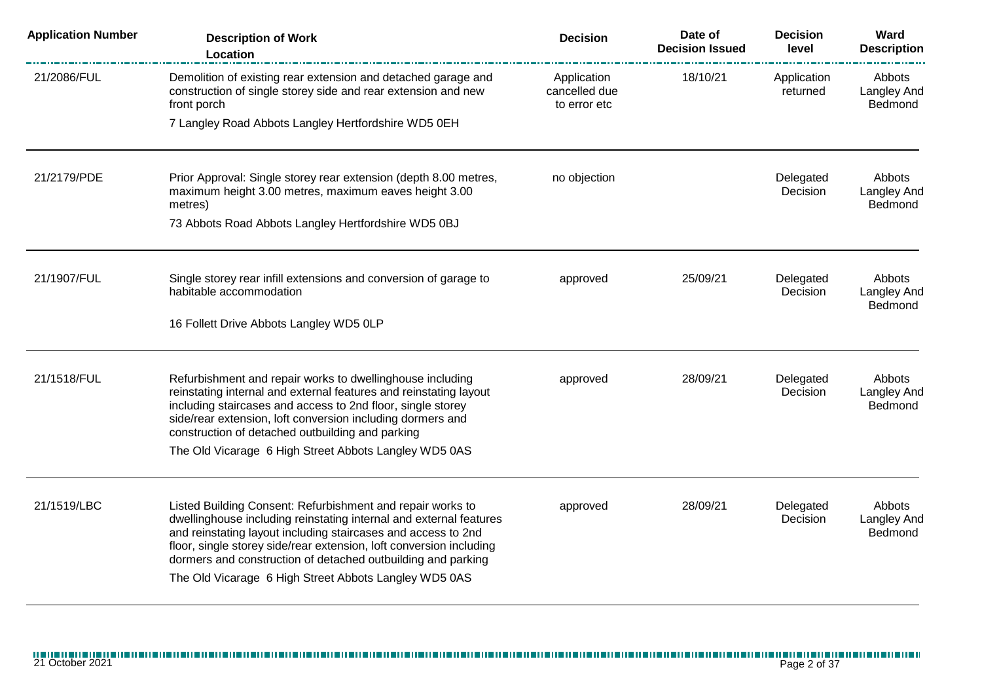| <b>Application Number</b> | <b>Description of Work</b><br>Location                                                                                                                                                                                                                                                                                                                                                            | <b>Decision</b>                              | Date of<br><b>Decision Issued</b> | <b>Decision</b><br>level | Ward<br><b>Description</b>                     |
|---------------------------|---------------------------------------------------------------------------------------------------------------------------------------------------------------------------------------------------------------------------------------------------------------------------------------------------------------------------------------------------------------------------------------------------|----------------------------------------------|-----------------------------------|--------------------------|------------------------------------------------|
| 21/2086/FUL               | Demolition of existing rear extension and detached garage and<br>construction of single storey side and rear extension and new<br>front porch                                                                                                                                                                                                                                                     | Application<br>cancelled due<br>to error etc | 18/10/21                          | Application<br>returned  | <b>Abbots</b><br><b>Langley And</b><br>Bedmond |
|                           | 7 Langley Road Abbots Langley Hertfordshire WD5 0EH                                                                                                                                                                                                                                                                                                                                               |                                              |                                   |                          |                                                |
| 21/2179/PDE               | Prior Approval: Single storey rear extension (depth 8.00 metres,<br>maximum height 3.00 metres, maximum eaves height 3.00<br>metres)<br>73 Abbots Road Abbots Langley Hertfordshire WD5 0BJ                                                                                                                                                                                                       | no objection                                 |                                   | Delegated<br>Decision    | Abbots<br><b>Langley And</b><br>Bedmond        |
|                           |                                                                                                                                                                                                                                                                                                                                                                                                   |                                              |                                   |                          |                                                |
| 21/1907/FUL               | Single storey rear infill extensions and conversion of garage to<br>habitable accommodation                                                                                                                                                                                                                                                                                                       | approved                                     | 25/09/21                          | Delegated<br>Decision    | Abbots<br><b>Langley And</b><br>Bedmond        |
|                           | 16 Follett Drive Abbots Langley WD5 0LP                                                                                                                                                                                                                                                                                                                                                           |                                              |                                   |                          |                                                |
| 21/1518/FUL               | Refurbishment and repair works to dwellinghouse including<br>reinstating internal and external features and reinstating layout<br>including staircases and access to 2nd floor, single storey<br>side/rear extension, loft conversion including dormers and<br>construction of detached outbuilding and parking                                                                                   | approved                                     | 28/09/21                          | Delegated<br>Decision    | Abbots<br>Langley And<br>Bedmond               |
|                           | The Old Vicarage 6 High Street Abbots Langley WD5 0AS                                                                                                                                                                                                                                                                                                                                             |                                              |                                   |                          |                                                |
| 21/1519/LBC               | Listed Building Consent: Refurbishment and repair works to<br>dwellinghouse including reinstating internal and external features<br>and reinstating layout including staircases and access to 2nd<br>floor, single storey side/rear extension, loft conversion including<br>dormers and construction of detached outbuilding and parking<br>The Old Vicarage 6 High Street Abbots Langley WD5 0AS | approved                                     | 28/09/21                          | Delegated<br>Decision    | Abbots<br><b>Langley And</b><br>Bedmond        |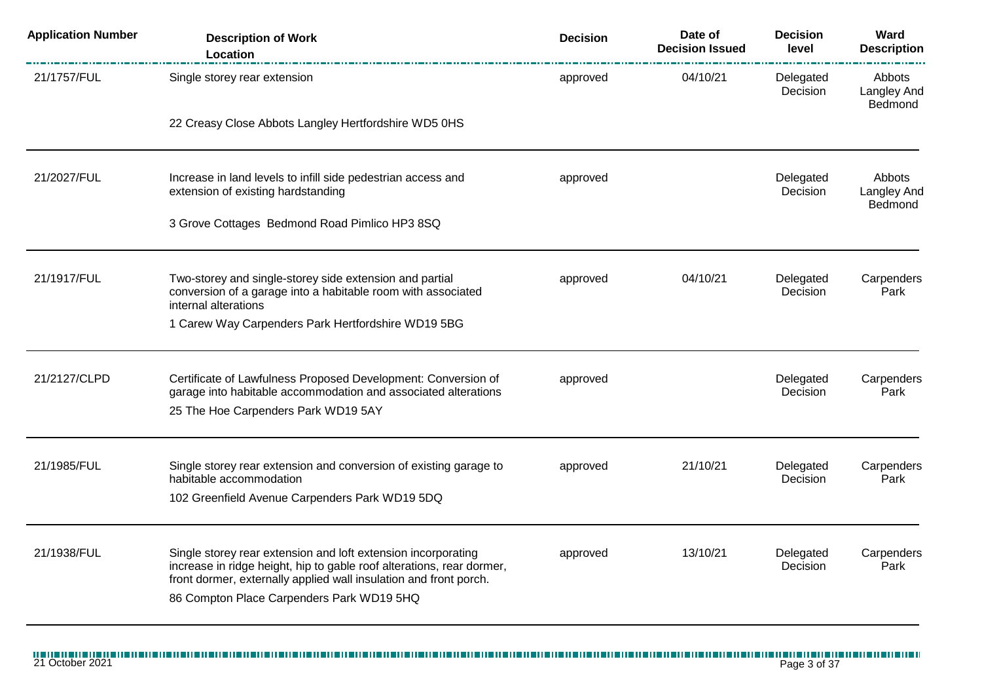| <b>Application Number</b> | <b>Description of Work</b><br>Location                                                                                                                                                                                                                   | <b>Decision</b> | Date of<br><b>Decision Issued</b> | <b>Decision</b><br>level | Ward<br><b>Description</b>              |
|---------------------------|----------------------------------------------------------------------------------------------------------------------------------------------------------------------------------------------------------------------------------------------------------|-----------------|-----------------------------------|--------------------------|-----------------------------------------|
| 21/1757/FUL               | Single storey rear extension                                                                                                                                                                                                                             | approved        | 04/10/21                          | Delegated<br>Decision    | Abbots<br>Langley And<br>Bedmond        |
|                           | 22 Creasy Close Abbots Langley Hertfordshire WD5 0HS                                                                                                                                                                                                     |                 |                                   |                          |                                         |
| 21/2027/FUL               | Increase in land levels to infill side pedestrian access and<br>extension of existing hardstanding                                                                                                                                                       | approved        |                                   | Delegated<br>Decision    | <b>Abbots</b><br>Langley And<br>Bedmond |
|                           | 3 Grove Cottages Bedmond Road Pimlico HP3 8SQ                                                                                                                                                                                                            |                 |                                   |                          |                                         |
| 21/1917/FUL               | Two-storey and single-storey side extension and partial<br>conversion of a garage into a habitable room with associated<br>internal alterations<br>1 Carew Way Carpenders Park Hertfordshire WD19 5BG                                                    | approved        | 04/10/21                          | Delegated<br>Decision    | Carpenders<br>Park                      |
| 21/2127/CLPD              | Certificate of Lawfulness Proposed Development: Conversion of<br>garage into habitable accommodation and associated alterations<br>25 The Hoe Carpenders Park WD19 5AY                                                                                   | approved        |                                   | Delegated<br>Decision    | Carpenders<br>Park                      |
| 21/1985/FUL               | Single storey rear extension and conversion of existing garage to<br>habitable accommodation<br>102 Greenfield Avenue Carpenders Park WD19 5DQ                                                                                                           | approved        | 21/10/21                          | Delegated<br>Decision    | Carpenders<br>Park                      |
| 21/1938/FUL               | Single storey rear extension and loft extension incorporating<br>increase in ridge height, hip to gable roof alterations, rear dormer,<br>front dormer, externally applied wall insulation and front porch.<br>86 Compton Place Carpenders Park WD19 5HQ | approved        | 13/10/21                          | Delegated<br>Decision    | Carpenders<br>Park                      |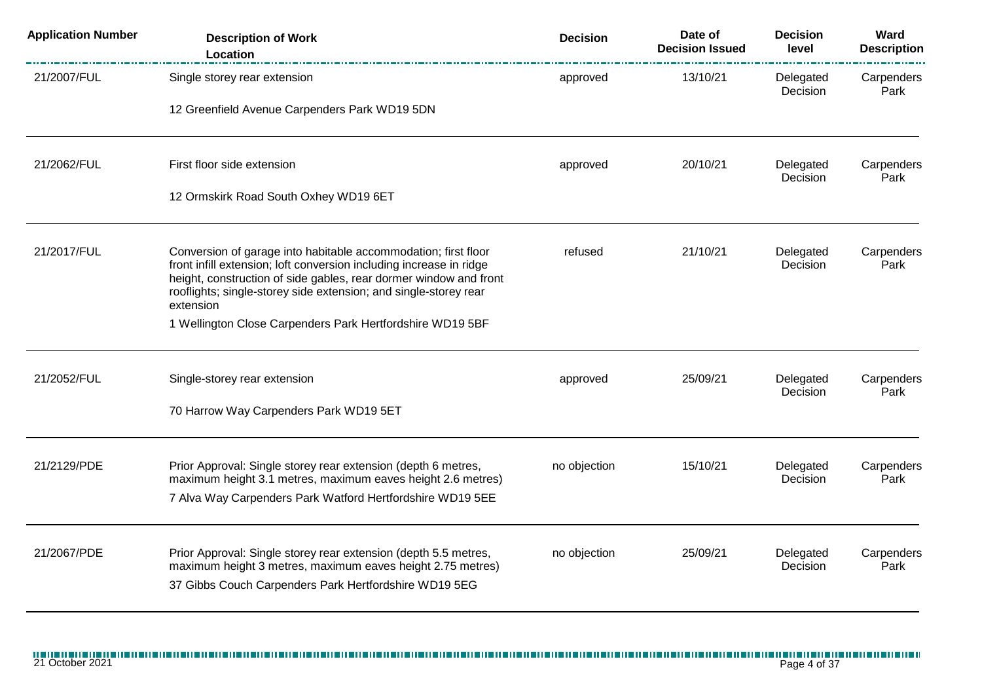| <b>Application Number</b> | <b>Description of Work</b><br>Location                                                                                                                                                                                                                                                      | <b>Decision</b> | Date of<br><b>Decision Issued</b> | <b>Decision</b><br>level | Ward<br><b>Description</b> |
|---------------------------|---------------------------------------------------------------------------------------------------------------------------------------------------------------------------------------------------------------------------------------------------------------------------------------------|-----------------|-----------------------------------|--------------------------|----------------------------|
| 21/2007/FUL               | Single storey rear extension                                                                                                                                                                                                                                                                | approved        | 13/10/21                          | Delegated<br>Decision    | Carpenders<br>Park         |
|                           | 12 Greenfield Avenue Carpenders Park WD19 5DN                                                                                                                                                                                                                                               |                 |                                   |                          |                            |
| 21/2062/FUL               | First floor side extension                                                                                                                                                                                                                                                                  | approved        | 20/10/21                          | Delegated<br>Decision    | Carpenders<br>Park         |
|                           | 12 Ormskirk Road South Oxhey WD19 6ET                                                                                                                                                                                                                                                       |                 |                                   |                          |                            |
| 21/2017/FUL               | Conversion of garage into habitable accommodation; first floor<br>front infill extension; loft conversion including increase in ridge<br>height, construction of side gables, rear dormer window and front<br>rooflights; single-storey side extension; and single-storey rear<br>extension | refused         | 21/10/21                          | Delegated<br>Decision    | Carpenders<br>Park         |
|                           | 1 Wellington Close Carpenders Park Hertfordshire WD19 5BF                                                                                                                                                                                                                                   |                 |                                   |                          |                            |
| 21/2052/FUL               | Single-storey rear extension                                                                                                                                                                                                                                                                | approved        | 25/09/21                          | Delegated<br>Decision    | Carpenders<br>Park         |
|                           | 70 Harrow Way Carpenders Park WD19 5ET                                                                                                                                                                                                                                                      |                 |                                   |                          |                            |
| 21/2129/PDE               | Prior Approval: Single storey rear extension (depth 6 metres,<br>maximum height 3.1 metres, maximum eaves height 2.6 metres)                                                                                                                                                                | no objection    | 15/10/21                          | Delegated<br>Decision    | Carpenders<br>Park         |
|                           | 7 Alva Way Carpenders Park Watford Hertfordshire WD19 5EE                                                                                                                                                                                                                                   |                 |                                   |                          |                            |
| 21/2067/PDE               | Prior Approval: Single storey rear extension (depth 5.5 metres,<br>maximum height 3 metres, maximum eaves height 2.75 metres)<br>37 Gibbs Couch Carpenders Park Hertfordshire WD19 5EG                                                                                                      | no objection    | 25/09/21                          | Delegated<br>Decision    | Carpenders<br>Park         |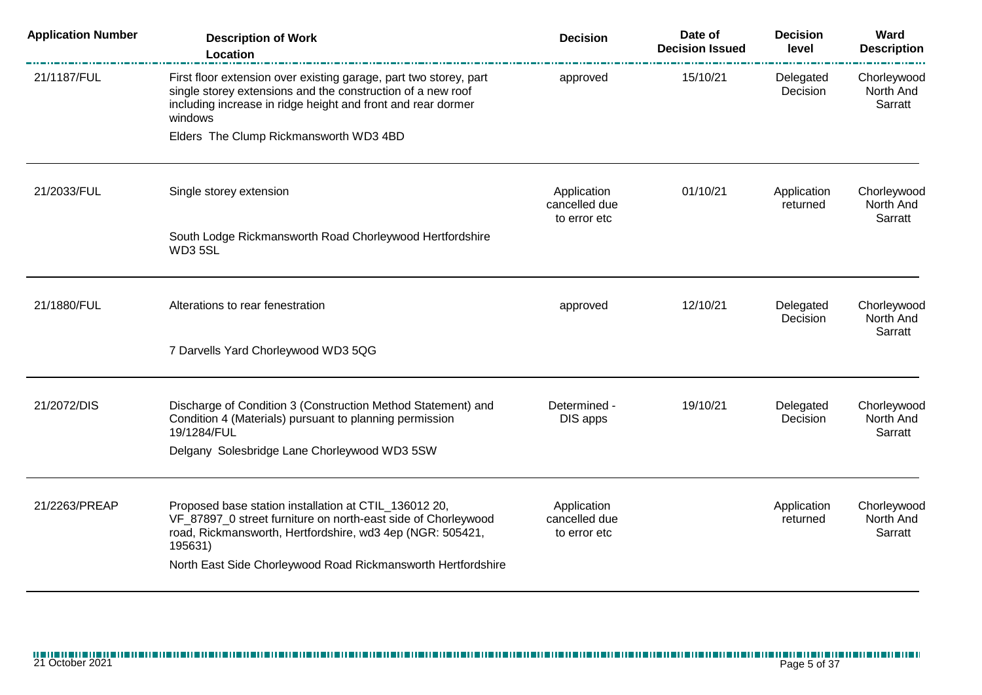| <b>Application Number</b> | <b>Description of Work</b><br>Location                                                                                                                                                                                                                         | <b>Decision</b>                              | Date of<br><b>Decision Issued</b> | <b>Decision</b><br>level | Ward<br><b>Description</b>          |
|---------------------------|----------------------------------------------------------------------------------------------------------------------------------------------------------------------------------------------------------------------------------------------------------------|----------------------------------------------|-----------------------------------|--------------------------|-------------------------------------|
| 21/1187/FUL               | First floor extension over existing garage, part two storey, part<br>single storey extensions and the construction of a new roof<br>including increase in ridge height and front and rear dormer<br>windows                                                    | approved                                     | 15/10/21                          | Delegated<br>Decision    | Chorleywood<br>North And<br>Sarratt |
|                           | Elders The Clump Rickmansworth WD3 4BD                                                                                                                                                                                                                         |                                              |                                   |                          |                                     |
| 21/2033/FUL               | Single storey extension                                                                                                                                                                                                                                        | Application<br>cancelled due<br>to error etc | 01/10/21                          | Application<br>returned  | Chorleywood<br>North And<br>Sarratt |
|                           | South Lodge Rickmansworth Road Chorleywood Hertfordshire<br>WD35SL                                                                                                                                                                                             |                                              |                                   |                          |                                     |
| 21/1880/FUL               | Alterations to rear fenestration                                                                                                                                                                                                                               | approved                                     | 12/10/21                          | Delegated<br>Decision    | Chorleywood<br>North And<br>Sarratt |
|                           | 7 Darvells Yard Chorleywood WD3 5QG                                                                                                                                                                                                                            |                                              |                                   |                          |                                     |
| 21/2072/DIS               | Discharge of Condition 3 (Construction Method Statement) and<br>Condition 4 (Materials) pursuant to planning permission<br>19/1284/FUL<br>Delgany Solesbridge Lane Chorleywood WD3 5SW                                                                         | Determined -<br>DIS apps                     | 19/10/21                          | Delegated<br>Decision    | Chorleywood<br>North And<br>Sarratt |
|                           |                                                                                                                                                                                                                                                                |                                              |                                   |                          |                                     |
| 21/2263/PREAP             | Proposed base station installation at CTIL_136012 20,<br>VF_87897_0 street furniture on north-east side of Chorleywood<br>road, Rickmansworth, Hertfordshire, wd3 4ep (NGR: 505421,<br>195631)<br>North East Side Chorleywood Road Rickmansworth Hertfordshire | Application<br>cancelled due<br>to error etc |                                   | Application<br>returned  | Chorleywood<br>North And<br>Sarratt |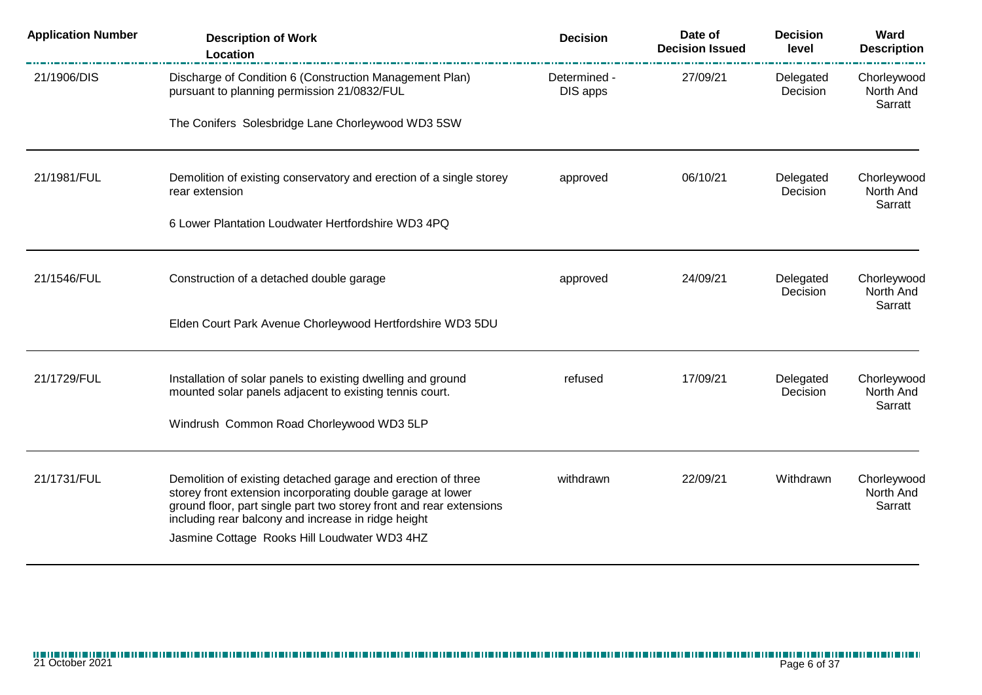| <b>Application Number</b> | <b>Description of Work</b><br>Location                                                                                                                                                                                                                                                                    | <b>Decision</b>          | Date of<br><b>Decision Issued</b> | <b>Decision</b><br>level | Ward<br><b>Description</b>          |
|---------------------------|-----------------------------------------------------------------------------------------------------------------------------------------------------------------------------------------------------------------------------------------------------------------------------------------------------------|--------------------------|-----------------------------------|--------------------------|-------------------------------------|
| 21/1906/DIS               | Discharge of Condition 6 (Construction Management Plan)<br>pursuant to planning permission 21/0832/FUL                                                                                                                                                                                                    | Determined -<br>DIS apps | 27/09/21                          | Delegated<br>Decision    | Chorleywood<br>North And<br>Sarratt |
|                           | The Conifers Solesbridge Lane Chorleywood WD3 5SW                                                                                                                                                                                                                                                         |                          |                                   |                          |                                     |
| 21/1981/FUL               | Demolition of existing conservatory and erection of a single storey<br>rear extension                                                                                                                                                                                                                     | approved                 | 06/10/21                          | Delegated<br>Decision    | Chorleywood<br>North And<br>Sarratt |
|                           | 6 Lower Plantation Loudwater Hertfordshire WD3 4PQ                                                                                                                                                                                                                                                        |                          |                                   |                          |                                     |
| 21/1546/FUL               | Construction of a detached double garage                                                                                                                                                                                                                                                                  | approved                 | 24/09/21                          | Delegated<br>Decision    | Chorleywood<br>North And            |
|                           | Elden Court Park Avenue Chorleywood Hertfordshire WD3 5DU                                                                                                                                                                                                                                                 |                          |                                   |                          | Sarratt                             |
| 21/1729/FUL               | Installation of solar panels to existing dwelling and ground<br>mounted solar panels adjacent to existing tennis court.                                                                                                                                                                                   | refused                  | 17/09/21                          | Delegated<br>Decision    | Chorleywood<br>North And            |
|                           | Windrush Common Road Chorleywood WD3 5LP                                                                                                                                                                                                                                                                  |                          |                                   |                          | Sarratt                             |
| 21/1731/FUL               | Demolition of existing detached garage and erection of three<br>storey front extension incorporating double garage at lower<br>ground floor, part single part two storey front and rear extensions<br>including rear balcony and increase in ridge height<br>Jasmine Cottage Rooks Hill Loudwater WD3 4HZ | withdrawn                | 22/09/21                          | Withdrawn                | Chorleywood<br>North And<br>Sarratt |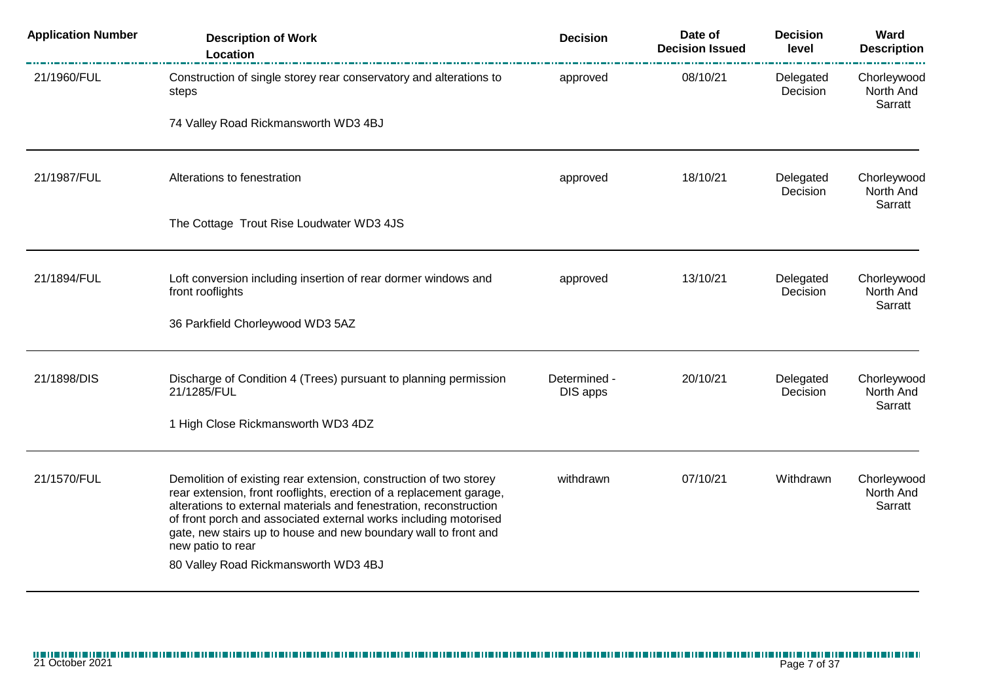| <b>Application Number</b> | <b>Description of Work</b><br>Location                                                                                                                                                                                                                                                                                                                                                                             | <b>Decision</b>          | Date of<br><b>Decision Issued</b> | <b>Decision</b><br>level | Ward<br><b>Description</b>          |
|---------------------------|--------------------------------------------------------------------------------------------------------------------------------------------------------------------------------------------------------------------------------------------------------------------------------------------------------------------------------------------------------------------------------------------------------------------|--------------------------|-----------------------------------|--------------------------|-------------------------------------|
| 21/1960/FUL               | Construction of single storey rear conservatory and alterations to<br>steps                                                                                                                                                                                                                                                                                                                                        | approved                 | 08/10/21                          | Delegated<br>Decision    | Chorleywood<br>North And<br>Sarratt |
|                           | 74 Valley Road Rickmansworth WD3 4BJ                                                                                                                                                                                                                                                                                                                                                                               |                          |                                   |                          |                                     |
| 21/1987/FUL               | Alterations to fenestration                                                                                                                                                                                                                                                                                                                                                                                        | approved                 | 18/10/21                          | Delegated<br>Decision    | Chorleywood<br>North And<br>Sarratt |
|                           | The Cottage Trout Rise Loudwater WD3 4JS                                                                                                                                                                                                                                                                                                                                                                           |                          |                                   |                          |                                     |
| 21/1894/FUL               | Loft conversion including insertion of rear dormer windows and<br>front rooflights                                                                                                                                                                                                                                                                                                                                 | approved                 | 13/10/21                          | Delegated<br>Decision    | Chorleywood<br>North And<br>Sarratt |
|                           | 36 Parkfield Chorleywood WD3 5AZ                                                                                                                                                                                                                                                                                                                                                                                   |                          |                                   |                          |                                     |
| 21/1898/DIS               | Discharge of Condition 4 (Trees) pursuant to planning permission<br>21/1285/FUL                                                                                                                                                                                                                                                                                                                                    | Determined -<br>DIS apps | 20/10/21                          | Delegated<br>Decision    | Chorleywood<br>North And<br>Sarratt |
|                           | 1 High Close Rickmansworth WD3 4DZ                                                                                                                                                                                                                                                                                                                                                                                 |                          |                                   |                          |                                     |
| 21/1570/FUL               | Demolition of existing rear extension, construction of two storey<br>rear extension, front rooflights, erection of a replacement garage,<br>alterations to external materials and fenestration, reconstruction<br>of front porch and associated external works including motorised<br>gate, new stairs up to house and new boundary wall to front and<br>new patio to rear<br>80 Valley Road Rickmansworth WD3 4BJ | withdrawn                | 07/10/21                          | Withdrawn                | Chorleywood<br>North And<br>Sarratt |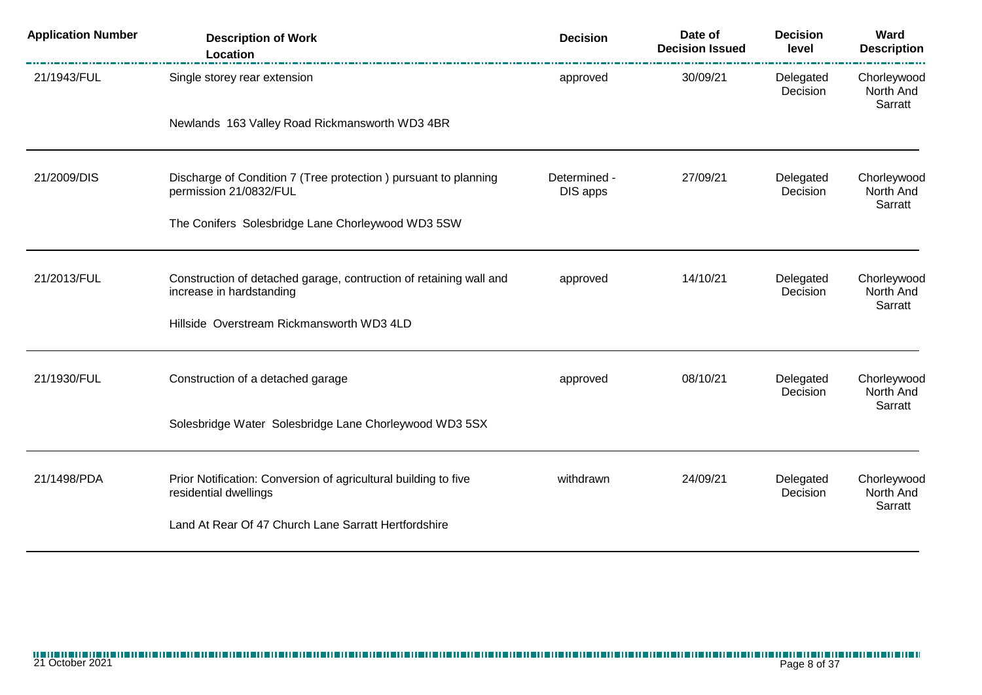| <b>Application Number</b> | <b>Description of Work</b><br>Location                                                         | <b>Decision</b>          | Date of<br><b>Decision Issued</b> | <b>Decision</b><br>level | Ward<br><b>Description</b>          |
|---------------------------|------------------------------------------------------------------------------------------------|--------------------------|-----------------------------------|--------------------------|-------------------------------------|
| 21/1943/FUL               | Single storey rear extension                                                                   | approved                 | 30/09/21                          | Delegated<br>Decision    | Chorleywood<br>North And<br>Sarratt |
|                           | Newlands 163 Valley Road Rickmansworth WD3 4BR                                                 |                          |                                   |                          |                                     |
| 21/2009/DIS               | Discharge of Condition 7 (Tree protection ) pursuant to planning<br>permission 21/0832/FUL     | Determined -<br>DIS apps | 27/09/21                          | Delegated<br>Decision    | Chorleywood<br>North And<br>Sarratt |
|                           | The Conifers Solesbridge Lane Chorleywood WD3 5SW                                              |                          |                                   |                          |                                     |
| 21/2013/FUL               | Construction of detached garage, contruction of retaining wall and<br>increase in hardstanding | approved                 | 14/10/21                          | Delegated<br>Decision    | Chorleywood<br>North And            |
|                           | Hillside Overstream Rickmansworth WD3 4LD                                                      |                          |                                   |                          | Sarratt                             |
| 21/1930/FUL               | Construction of a detached garage                                                              | approved                 | 08/10/21                          | Delegated<br>Decision    | Chorleywood<br>North And            |
|                           | Solesbridge Water Solesbridge Lane Chorleywood WD3 5SX                                         |                          |                                   |                          | Sarratt                             |
| 21/1498/PDA               | Prior Notification: Conversion of agricultural building to five<br>residential dwellings       | withdrawn                | 24/09/21                          | Delegated<br>Decision    | Chorleywood<br>North And            |
|                           | Land At Rear Of 47 Church Lane Sarratt Hertfordshire                                           |                          |                                   |                          | Sarratt                             |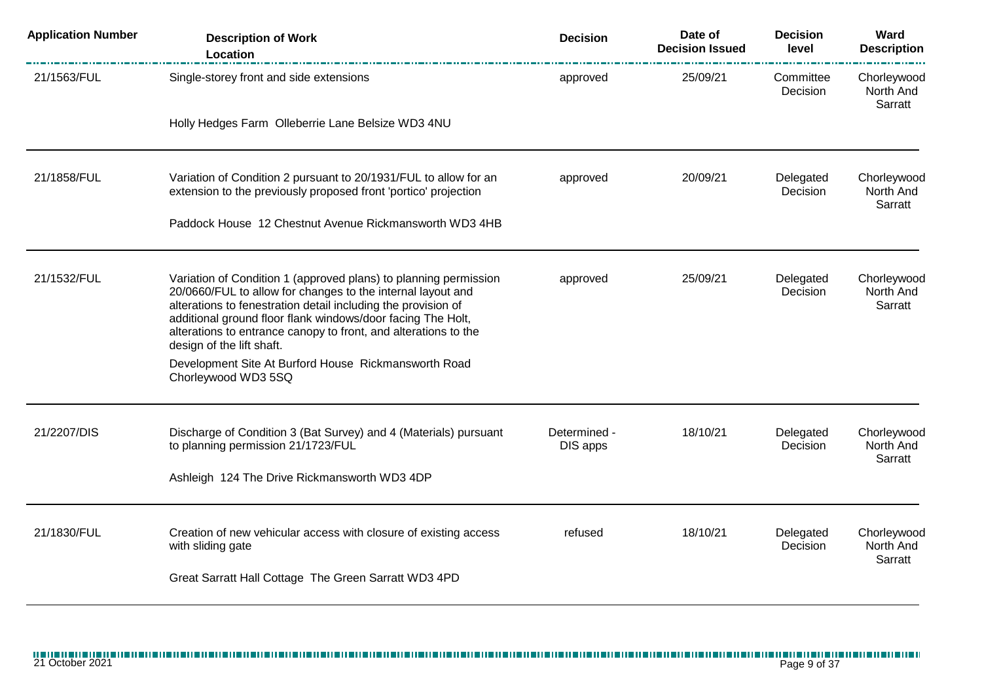| <b>Application Number</b> | <b>Description of Work</b><br>Location                                                                                                                                                                                                                                                                                                                          | <b>Decision</b>          | Date of<br><b>Decision Issued</b> | <b>Decision</b><br>level | Ward<br><b>Description</b>          |
|---------------------------|-----------------------------------------------------------------------------------------------------------------------------------------------------------------------------------------------------------------------------------------------------------------------------------------------------------------------------------------------------------------|--------------------------|-----------------------------------|--------------------------|-------------------------------------|
| 21/1563/FUL               | Single-storey front and side extensions                                                                                                                                                                                                                                                                                                                         | approved                 | 25/09/21                          | Committee<br>Decision    | Chorleywood<br>North And<br>Sarratt |
|                           | Holly Hedges Farm Olleberrie Lane Belsize WD3 4NU                                                                                                                                                                                                                                                                                                               |                          |                                   |                          |                                     |
| 21/1858/FUL               | Variation of Condition 2 pursuant to 20/1931/FUL to allow for an<br>extension to the previously proposed front 'portico' projection                                                                                                                                                                                                                             | approved                 | 20/09/21                          | Delegated<br>Decision    | Chorleywood<br>North And<br>Sarratt |
|                           | Paddock House 12 Chestnut Avenue Rickmansworth WD3 4HB                                                                                                                                                                                                                                                                                                          |                          |                                   |                          |                                     |
| 21/1532/FUL               | Variation of Condition 1 (approved plans) to planning permission<br>20/0660/FUL to allow for changes to the internal layout and<br>alterations to fenestration detail including the provision of<br>additional ground floor flank windows/door facing The Holt,<br>alterations to entrance canopy to front, and alterations to the<br>design of the lift shaft. | approved                 | 25/09/21                          | Delegated<br>Decision    | Chorleywood<br>North And<br>Sarratt |
|                           | Development Site At Burford House Rickmansworth Road<br>Chorleywood WD3 5SQ                                                                                                                                                                                                                                                                                     |                          |                                   |                          |                                     |
| 21/2207/DIS               | Discharge of Condition 3 (Bat Survey) and 4 (Materials) pursuant<br>to planning permission 21/1723/FUL                                                                                                                                                                                                                                                          | Determined -<br>DIS apps | 18/10/21                          | Delegated<br>Decision    | Chorleywood<br>North And<br>Sarratt |
|                           | Ashleigh 124 The Drive Rickmansworth WD3 4DP                                                                                                                                                                                                                                                                                                                    |                          |                                   |                          |                                     |
| 21/1830/FUL               | Creation of new vehicular access with closure of existing access<br>with sliding gate                                                                                                                                                                                                                                                                           | refused                  | 18/10/21                          | Delegated<br>Decision    | Chorleywood<br>North And<br>Sarratt |
|                           | Great Sarratt Hall Cottage The Green Sarratt WD3 4PD                                                                                                                                                                                                                                                                                                            |                          |                                   |                          |                                     |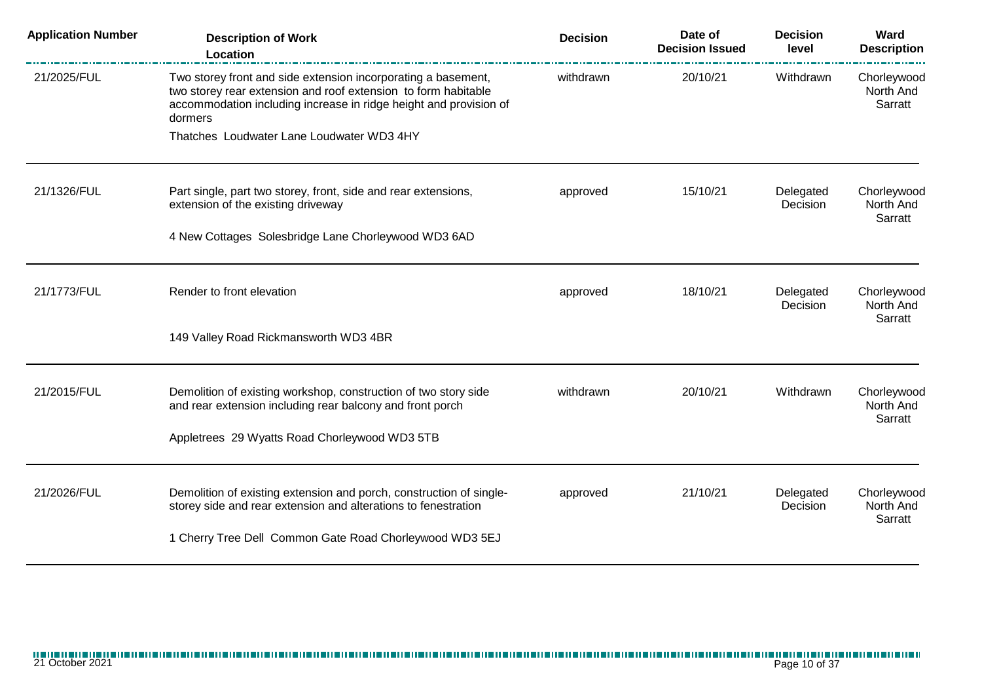| <b>Application Number</b> | <b>Description of Work</b><br>Location                                                                                                                                                                          | <b>Decision</b> | Date of<br><b>Decision Issued</b> | <b>Decision</b><br>level | Ward<br><b>Description</b>          |
|---------------------------|-----------------------------------------------------------------------------------------------------------------------------------------------------------------------------------------------------------------|-----------------|-----------------------------------|--------------------------|-------------------------------------|
| 21/2025/FUL               | Two storey front and side extension incorporating a basement,<br>two storey rear extension and roof extension to form habitable<br>accommodation including increase in ridge height and provision of<br>dormers | withdrawn       | 20/10/21                          | Withdrawn                | Chorleywood<br>North And<br>Sarratt |
|                           | Thatches Loudwater Lane Loudwater WD3 4HY                                                                                                                                                                       |                 |                                   |                          |                                     |
| 21/1326/FUL               | Part single, part two storey, front, side and rear extensions,<br>extension of the existing driveway                                                                                                            | approved        | 15/10/21                          | Delegated<br>Decision    | Chorleywood<br>North And<br>Sarratt |
|                           | 4 New Cottages Solesbridge Lane Chorleywood WD3 6AD                                                                                                                                                             |                 |                                   |                          |                                     |
| 21/1773/FUL               | Render to front elevation                                                                                                                                                                                       | approved        | 18/10/21                          | Delegated<br>Decision    | Chorleywood<br>North And<br>Sarratt |
|                           | 149 Valley Road Rickmansworth WD3 4BR                                                                                                                                                                           |                 |                                   |                          |                                     |
| 21/2015/FUL               | Demolition of existing workshop, construction of two story side<br>and rear extension including rear balcony and front porch                                                                                    | withdrawn       | 20/10/21                          | Withdrawn                | Chorleywood<br>North And<br>Sarratt |
|                           | Appletrees 29 Wyatts Road Chorleywood WD3 5TB                                                                                                                                                                   |                 |                                   |                          |                                     |
| 21/2026/FUL               | Demolition of existing extension and porch, construction of single-<br>storey side and rear extension and alterations to fenestration                                                                           | approved        | 21/10/21                          | Delegated<br>Decision    | Chorleywood<br>North And<br>Sarratt |
|                           | 1 Cherry Tree Dell Common Gate Road Chorleywood WD3 5EJ                                                                                                                                                         |                 |                                   |                          |                                     |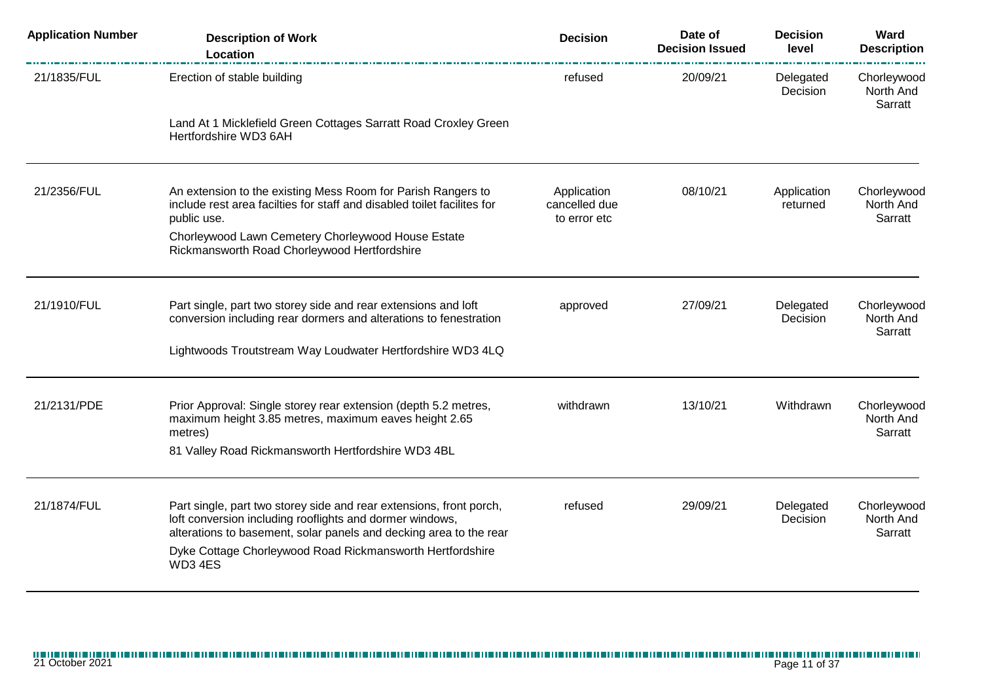| <b>Application Number</b> | <b>Description of Work</b><br>Location                                                                                                                                                                | <b>Decision</b>                              | Date of<br><b>Decision Issued</b> | <b>Decision</b><br>level | Ward<br><b>Description</b>          |
|---------------------------|-------------------------------------------------------------------------------------------------------------------------------------------------------------------------------------------------------|----------------------------------------------|-----------------------------------|--------------------------|-------------------------------------|
| 21/1835/FUL               | Erection of stable building                                                                                                                                                                           | refused                                      | 20/09/21                          | Delegated<br>Decision    | Chorleywood<br>North And<br>Sarratt |
|                           | Land At 1 Micklefield Green Cottages Sarratt Road Croxley Green<br>Hertfordshire WD3 6AH                                                                                                              |                                              |                                   |                          |                                     |
| 21/2356/FUL               | An extension to the existing Mess Room for Parish Rangers to<br>include rest area facilties for staff and disabled toilet facilites for<br>public use.                                                | Application<br>cancelled due<br>to error etc | 08/10/21                          | Application<br>returned  | Chorleywood<br>North And<br>Sarratt |
|                           | Chorleywood Lawn Cemetery Chorleywood House Estate<br>Rickmansworth Road Chorleywood Hertfordshire                                                                                                    |                                              |                                   |                          |                                     |
| 21/1910/FUL               | Part single, part two storey side and rear extensions and loft<br>conversion including rear dormers and alterations to fenestration                                                                   | approved                                     | 27/09/21                          | Delegated<br>Decision    | Chorleywood<br>North And<br>Sarratt |
|                           | Lightwoods Troutstream Way Loudwater Hertfordshire WD3 4LQ                                                                                                                                            |                                              |                                   |                          |                                     |
| 21/2131/PDE               | Prior Approval: Single storey rear extension (depth 5.2 metres,<br>maximum height 3.85 metres, maximum eaves height 2.65<br>metres)                                                                   | withdrawn                                    | 13/10/21                          | Withdrawn                | Chorleywood<br>North And<br>Sarratt |
|                           | 81 Valley Road Rickmansworth Hertfordshire WD3 4BL                                                                                                                                                    |                                              |                                   |                          |                                     |
| 21/1874/FUL               | Part single, part two storey side and rear extensions, front porch,<br>loft conversion including rooflights and dormer windows,<br>alterations to basement, solar panels and decking area to the rear | refused                                      | 29/09/21                          | Delegated<br>Decision    | Chorleywood<br>North And<br>Sarratt |
|                           | Dyke Cottage Chorleywood Road Rickmansworth Hertfordshire<br>WD3 4ES                                                                                                                                  |                                              |                                   |                          |                                     |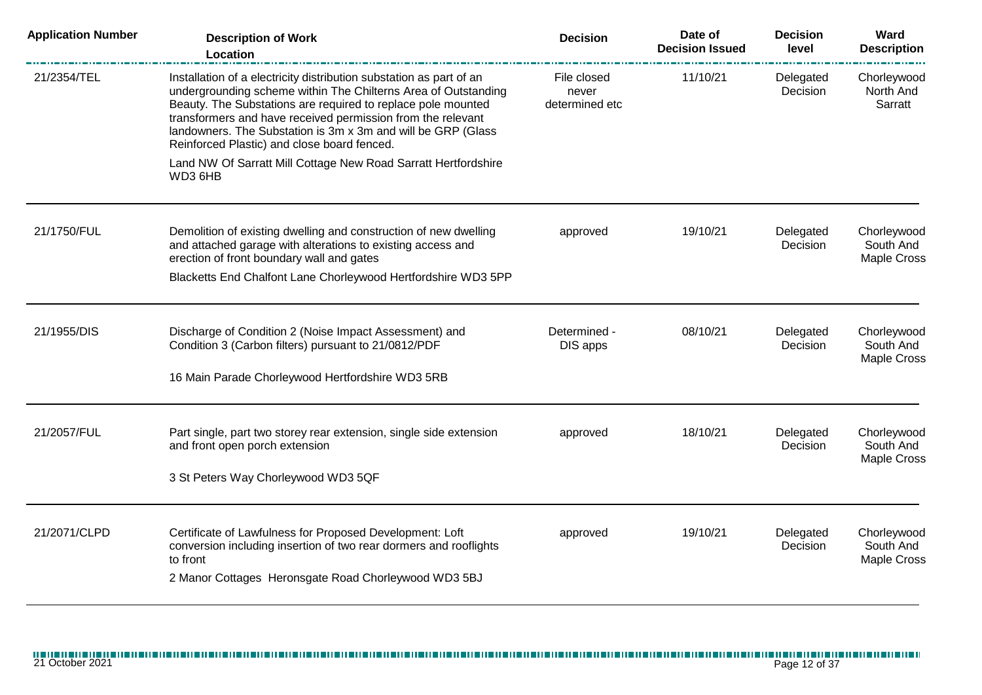| <b>Application Number</b> | <b>Description of Work</b><br><b>Location</b>                                                                                                                                                                                                                                                                                                                                       | <b>Decision</b>                        | Date of<br><b>Decision Issued</b> | <b>Decision</b><br>level | Ward<br><b>Description</b>              |
|---------------------------|-------------------------------------------------------------------------------------------------------------------------------------------------------------------------------------------------------------------------------------------------------------------------------------------------------------------------------------------------------------------------------------|----------------------------------------|-----------------------------------|--------------------------|-----------------------------------------|
| 21/2354/TEL               | Installation of a electricity distribution substation as part of an<br>undergrounding scheme within The Chilterns Area of Outstanding<br>Beauty. The Substations are required to replace pole mounted<br>transformers and have received permission from the relevant<br>landowners. The Substation is 3m x 3m and will be GRP (Glass<br>Reinforced Plastic) and close board fenced. | File closed<br>never<br>determined etc | 11/10/21                          | Delegated<br>Decision    | Chorleywood<br>North And<br>Sarratt     |
|                           | Land NW Of Sarratt Mill Cottage New Road Sarratt Hertfordshire<br>WD3 6HB                                                                                                                                                                                                                                                                                                           |                                        |                                   |                          |                                         |
| 21/1750/FUL               | Demolition of existing dwelling and construction of new dwelling<br>and attached garage with alterations to existing access and<br>erection of front boundary wall and gates                                                                                                                                                                                                        | approved                               | 19/10/21                          | Delegated<br>Decision    | Chorleywood<br>South And<br>Maple Cross |
|                           | Blacketts End Chalfont Lane Chorleywood Hertfordshire WD3 5PP                                                                                                                                                                                                                                                                                                                       |                                        |                                   |                          |                                         |
| 21/1955/DIS               | Discharge of Condition 2 (Noise Impact Assessment) and<br>Condition 3 (Carbon filters) pursuant to 21/0812/PDF                                                                                                                                                                                                                                                                      | Determined -<br>DIS apps               | 08/10/21                          | Delegated<br>Decision    | Chorleywood<br>South And<br>Maple Cross |
|                           | 16 Main Parade Chorleywood Hertfordshire WD3 5RB                                                                                                                                                                                                                                                                                                                                    |                                        |                                   |                          |                                         |
| 21/2057/FUL               | Part single, part two storey rear extension, single side extension<br>and front open porch extension                                                                                                                                                                                                                                                                                | approved                               | 18/10/21                          | Delegated<br>Decision    | Chorleywood<br>South And<br>Maple Cross |
|                           | 3 St Peters Way Chorleywood WD3 5QF                                                                                                                                                                                                                                                                                                                                                 |                                        |                                   |                          |                                         |
| 21/2071/CLPD              | Certificate of Lawfulness for Proposed Development: Loft<br>conversion including insertion of two rear dormers and rooflights<br>to front<br>2 Manor Cottages Heronsgate Road Chorleywood WD3 5BJ                                                                                                                                                                                   | approved                               | 19/10/21                          | Delegated<br>Decision    | Chorleywood<br>South And<br>Maple Cross |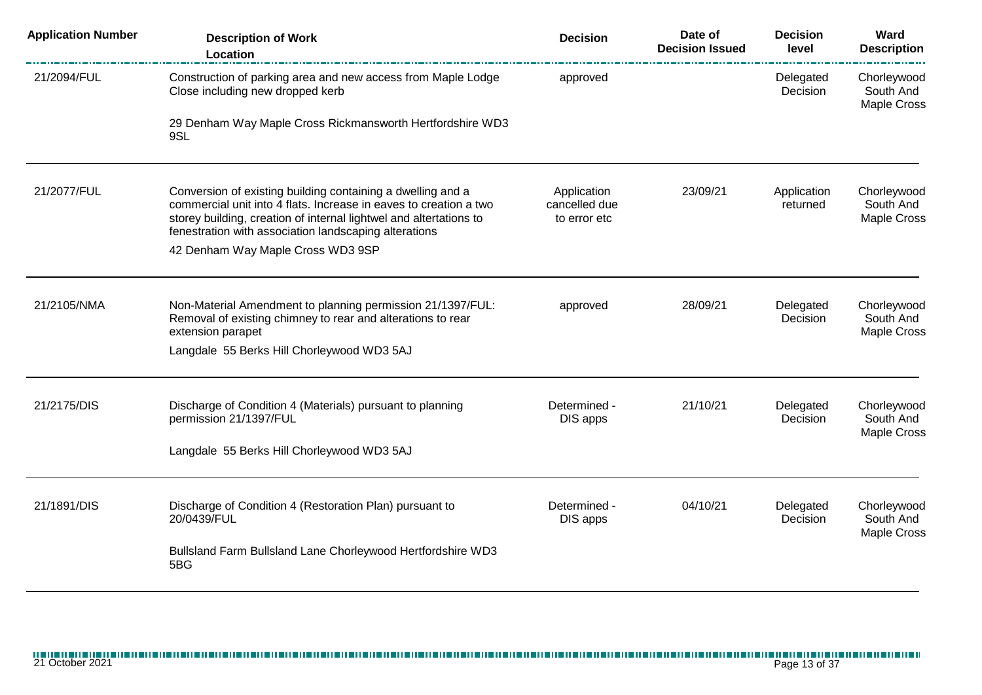| <b>Application Number</b> | <b>Description of Work</b><br>Location                                                                                                                                                                                                                          | <b>Decision</b>                              | Date of<br><b>Decision Issued</b> | <b>Decision</b><br>level | Ward<br><b>Description</b><br><u>i santa mate</u> |
|---------------------------|-----------------------------------------------------------------------------------------------------------------------------------------------------------------------------------------------------------------------------------------------------------------|----------------------------------------------|-----------------------------------|--------------------------|---------------------------------------------------|
| 21/2094/FUL               | Construction of parking area and new access from Maple Lodge<br>Close including new dropped kerb                                                                                                                                                                | approved                                     |                                   | Delegated<br>Decision    | Chorleywood<br>South And<br>Maple Cross           |
|                           | 29 Denham Way Maple Cross Rickmansworth Hertfordshire WD3<br>9SL                                                                                                                                                                                                |                                              |                                   |                          |                                                   |
| 21/2077/FUL               | Conversion of existing building containing a dwelling and a<br>commercial unit into 4 flats. Increase in eaves to creation a two<br>storey building, creation of internal lightwel and altertations to<br>fenestration with association landscaping alterations | Application<br>cancelled due<br>to error etc | 23/09/21                          | Application<br>returned  | Chorleywood<br>South And<br>Maple Cross           |
|                           | 42 Denham Way Maple Cross WD3 9SP                                                                                                                                                                                                                               |                                              |                                   |                          |                                                   |
| 21/2105/NMA               | Non-Material Amendment to planning permission 21/1397/FUL:<br>Removal of existing chimney to rear and alterations to rear<br>extension parapet                                                                                                                  | approved                                     | 28/09/21                          | Delegated<br>Decision    | Chorleywood<br>South And<br>Maple Cross           |
|                           | Langdale 55 Berks Hill Chorleywood WD3 5AJ                                                                                                                                                                                                                      |                                              |                                   |                          |                                                   |
| 21/2175/DIS               | Discharge of Condition 4 (Materials) pursuant to planning<br>permission 21/1397/FUL<br>Langdale 55 Berks Hill Chorleywood WD3 5AJ                                                                                                                               | Determined -<br>DIS apps                     | 21/10/21                          | Delegated<br>Decision    | Chorleywood<br>South And<br>Maple Cross           |
|                           |                                                                                                                                                                                                                                                                 |                                              |                                   |                          |                                                   |
| 21/1891/DIS               | Discharge of Condition 4 (Restoration Plan) pursuant to<br>20/0439/FUL                                                                                                                                                                                          | Determined -<br>DIS apps                     | 04/10/21                          | Delegated<br>Decision    | Chorleywood<br>South And<br>Maple Cross           |
|                           | Bullsland Farm Bullsland Lane Chorleywood Hertfordshire WD3<br>5BG                                                                                                                                                                                              |                                              |                                   |                          |                                                   |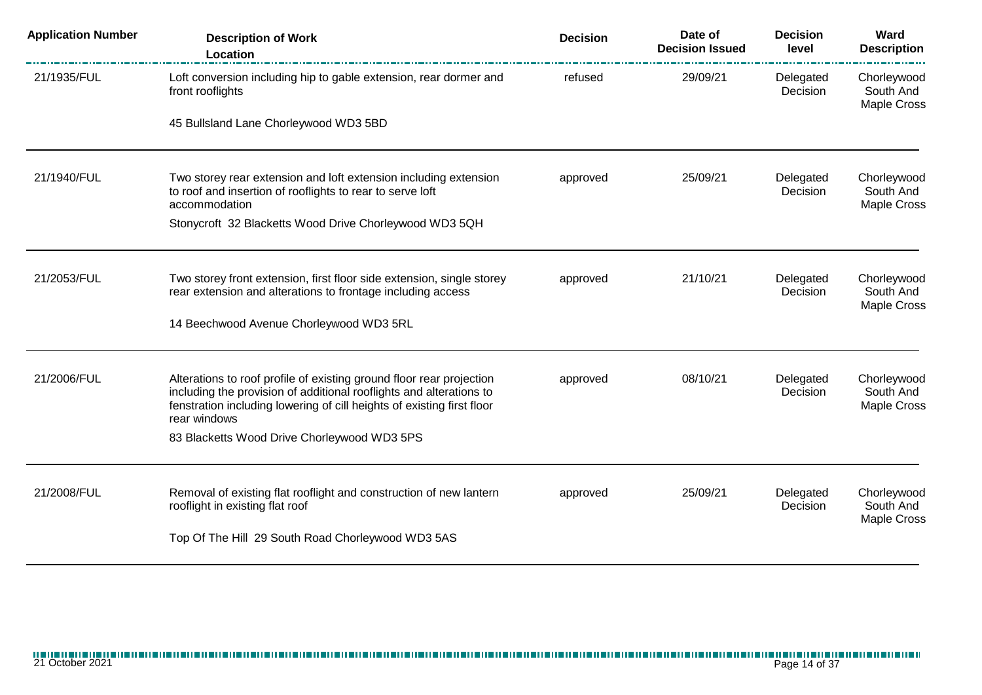| <b>Application Number</b> | <b>Description of Work</b><br>Location                                                                                                                                                                                                | <b>Decision</b> | Date of<br><b>Decision Issued</b> | <b>Decision</b><br>level | Ward<br><b>Description</b>                     |
|---------------------------|---------------------------------------------------------------------------------------------------------------------------------------------------------------------------------------------------------------------------------------|-----------------|-----------------------------------|--------------------------|------------------------------------------------|
| 21/1935/FUL               | Loft conversion including hip to gable extension, rear dormer and<br>front rooflights                                                                                                                                                 | refused         | 29/09/21                          | Delegated<br>Decision    | Chorleywood<br>South And<br><b>Maple Cross</b> |
|                           | 45 Bullsland Lane Chorleywood WD3 5BD                                                                                                                                                                                                 |                 |                                   |                          |                                                |
| 21/1940/FUL               | Two storey rear extension and loft extension including extension<br>to roof and insertion of rooflights to rear to serve loft<br>accommodation                                                                                        | approved        | 25/09/21                          | Delegated<br>Decision    | Chorleywood<br>South And<br><b>Maple Cross</b> |
|                           | Stonycroft 32 Blacketts Wood Drive Chorleywood WD3 5QH                                                                                                                                                                                |                 |                                   |                          |                                                |
| 21/2053/FUL               | Two storey front extension, first floor side extension, single storey<br>rear extension and alterations to frontage including access                                                                                                  | approved        | 21/10/21                          | Delegated<br>Decision    | Chorleywood<br>South And<br>Maple Cross        |
|                           | 14 Beechwood Avenue Chorleywood WD3 5RL                                                                                                                                                                                               |                 |                                   |                          |                                                |
| 21/2006/FUL               | Alterations to roof profile of existing ground floor rear projection<br>including the provision of additional rooflights and alterations to<br>fenstration including lowering of cill heights of existing first floor<br>rear windows | approved        | 08/10/21                          | Delegated<br>Decision    | Chorleywood<br>South And<br>Maple Cross        |
|                           | 83 Blacketts Wood Drive Chorleywood WD3 5PS                                                                                                                                                                                           |                 |                                   |                          |                                                |
| 21/2008/FUL               | Removal of existing flat rooflight and construction of new lantern<br>rooflight in existing flat roof                                                                                                                                 | approved        | 25/09/21                          | Delegated<br>Decision    | Chorleywood<br>South And<br>Maple Cross        |
|                           | Top Of The Hill 29 South Road Chorleywood WD3 5AS                                                                                                                                                                                     |                 |                                   |                          |                                                |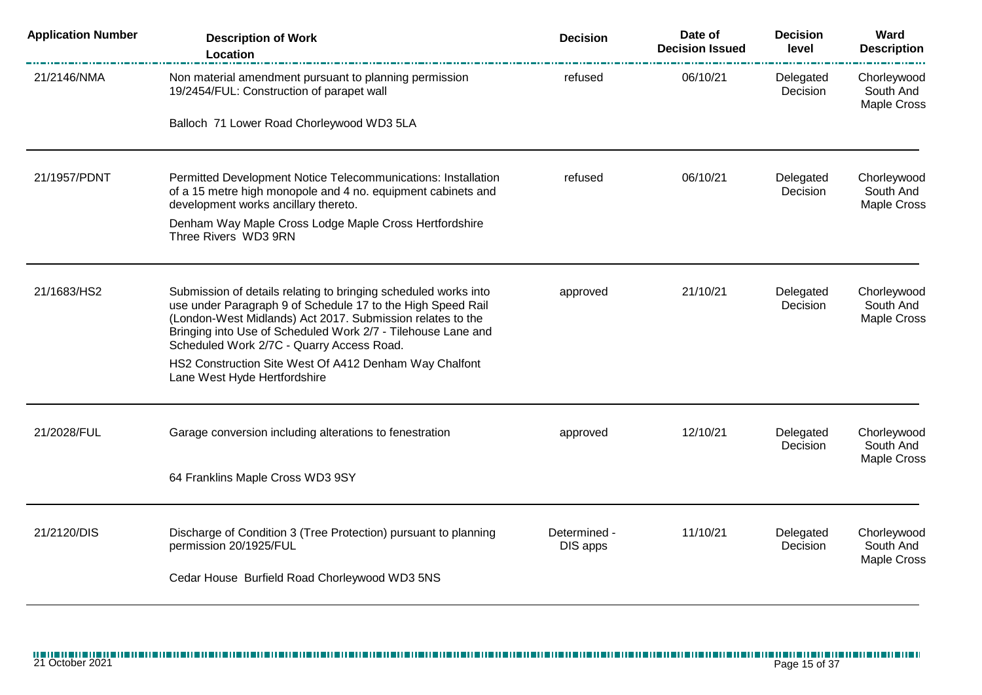| <b>Application Number</b> | <b>Description of Work</b><br>Location                                                                                                                                                                                                                                                                    | <b>Decision</b>          | Date of<br><b>Decision Issued</b> | <b>Decision</b><br>level | Ward<br><b>Description</b>                     |
|---------------------------|-----------------------------------------------------------------------------------------------------------------------------------------------------------------------------------------------------------------------------------------------------------------------------------------------------------|--------------------------|-----------------------------------|--------------------------|------------------------------------------------|
| 21/2146/NMA               | Non material amendment pursuant to planning permission<br>19/2454/FUL: Construction of parapet wall                                                                                                                                                                                                       | refused                  | 06/10/21                          | Delegated<br>Decision    | Chorleywood<br>South And<br>Maple Cross        |
|                           | Balloch 71 Lower Road Chorleywood WD3 5LA                                                                                                                                                                                                                                                                 |                          |                                   |                          |                                                |
| 21/1957/PDNT              | Permitted Development Notice Telecommunications: Installation<br>of a 15 metre high monopole and 4 no. equipment cabinets and<br>development works ancillary thereto.                                                                                                                                     | refused                  | 06/10/21                          | Delegated<br>Decision    | Chorleywood<br>South And<br>Maple Cross        |
|                           | Denham Way Maple Cross Lodge Maple Cross Hertfordshire<br>Three Rivers WD3 9RN                                                                                                                                                                                                                            |                          |                                   |                          |                                                |
| 21/1683/HS2               | Submission of details relating to bringing scheduled works into<br>use under Paragraph 9 of Schedule 17 to the High Speed Rail<br>(London-West Midlands) Act 2017. Submission relates to the<br>Bringing into Use of Scheduled Work 2/7 - Tilehouse Lane and<br>Scheduled Work 2/7C - Quarry Access Road. | approved                 | 21/10/21                          | Delegated<br>Decision    | Chorleywood<br>South And<br>Maple Cross        |
|                           | HS2 Construction Site West Of A412 Denham Way Chalfont<br>Lane West Hyde Hertfordshire                                                                                                                                                                                                                    |                          |                                   |                          |                                                |
| 21/2028/FUL               | Garage conversion including alterations to fenestration                                                                                                                                                                                                                                                   | approved                 | 12/10/21                          | Delegated<br>Decision    | Chorleywood<br>South And<br><b>Maple Cross</b> |
|                           | 64 Franklins Maple Cross WD3 9SY                                                                                                                                                                                                                                                                          |                          |                                   |                          |                                                |
| 21/2120/DIS               | Discharge of Condition 3 (Tree Protection) pursuant to planning<br>permission 20/1925/FUL                                                                                                                                                                                                                 | Determined -<br>DIS apps | 11/10/21                          | Delegated<br>Decision    | Chorleywood<br>South And<br><b>Maple Cross</b> |
|                           | Cedar House Burfield Road Chorleywood WD3 5NS                                                                                                                                                                                                                                                             |                          |                                   |                          |                                                |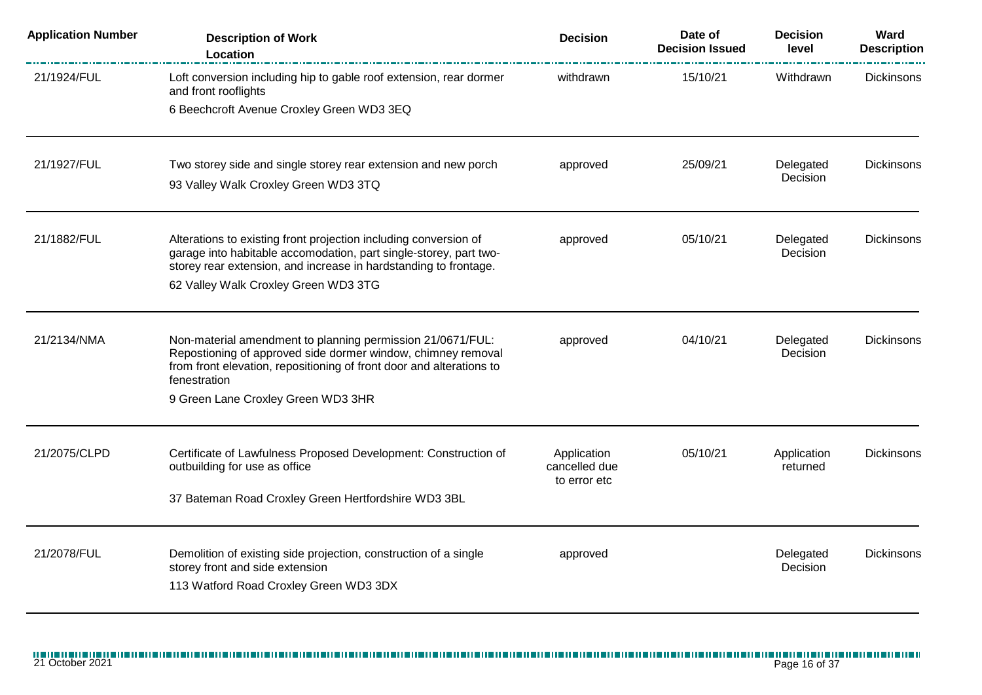| <b>Application Number</b> | <b>Description of Work</b><br>Location                                                                                                | <b>Decision</b>               | Date of<br><b>Decision Issued</b> | <b>Decision</b><br>level | Ward<br><b>Description</b> |
|---------------------------|---------------------------------------------------------------------------------------------------------------------------------------|-------------------------------|-----------------------------------|--------------------------|----------------------------|
| 21/1924/FUL               | Loft conversion including hip to gable roof extension, rear dormer<br>and front rooflights                                            | withdrawn                     | 15/10/21                          | Withdrawn                | <b>Dickinsons</b>          |
|                           | 6 Beechcroft Avenue Croxley Green WD3 3EQ                                                                                             |                               |                                   |                          |                            |
| 21/1927/FUL               | Two storey side and single storey rear extension and new porch                                                                        | approved                      | 25/09/21                          | Delegated<br>Decision    | Dickinsons                 |
|                           | 93 Valley Walk Croxley Green WD3 3TQ                                                                                                  |                               |                                   |                          |                            |
| 21/1882/FUL               | Alterations to existing front projection including conversion of                                                                      | approved                      | 05/10/21                          | Delegated                | Dickinsons                 |
|                           | garage into habitable accomodation, part single-storey, part two-<br>storey rear extension, and increase in hardstanding to frontage. |                               |                                   | Decision                 |                            |
|                           | 62 Valley Walk Croxley Green WD3 3TG                                                                                                  |                               |                                   |                          |                            |
| 21/2134/NMA               | Non-material amendment to planning permission 21/0671/FUL:<br>Repostioning of approved side dormer window, chimney removal            | approved                      | 04/10/21                          | Delegated<br>Decision    | <b>Dickinsons</b>          |
|                           | from front elevation, repositioning of front door and alterations to<br>fenestration                                                  |                               |                                   |                          |                            |
|                           | 9 Green Lane Croxley Green WD3 3HR                                                                                                    |                               |                                   |                          |                            |
| 21/2075/CLPD              | Certificate of Lawfulness Proposed Development: Construction of                                                                       | Application                   | 05/10/21                          | Application              | Dickinsons                 |
|                           | outbuilding for use as office                                                                                                         | cancelled due<br>to error etc |                                   | returned                 |                            |
|                           | 37 Bateman Road Croxley Green Hertfordshire WD3 3BL                                                                                   |                               |                                   |                          |                            |
| 21/2078/FUL               | Demolition of existing side projection, construction of a single                                                                      | approved                      |                                   | Delegated                | <b>Dickinsons</b>          |
|                           | storey front and side extension<br>113 Watford Road Croxley Green WD3 3DX                                                             |                               |                                   | Decision                 |                            |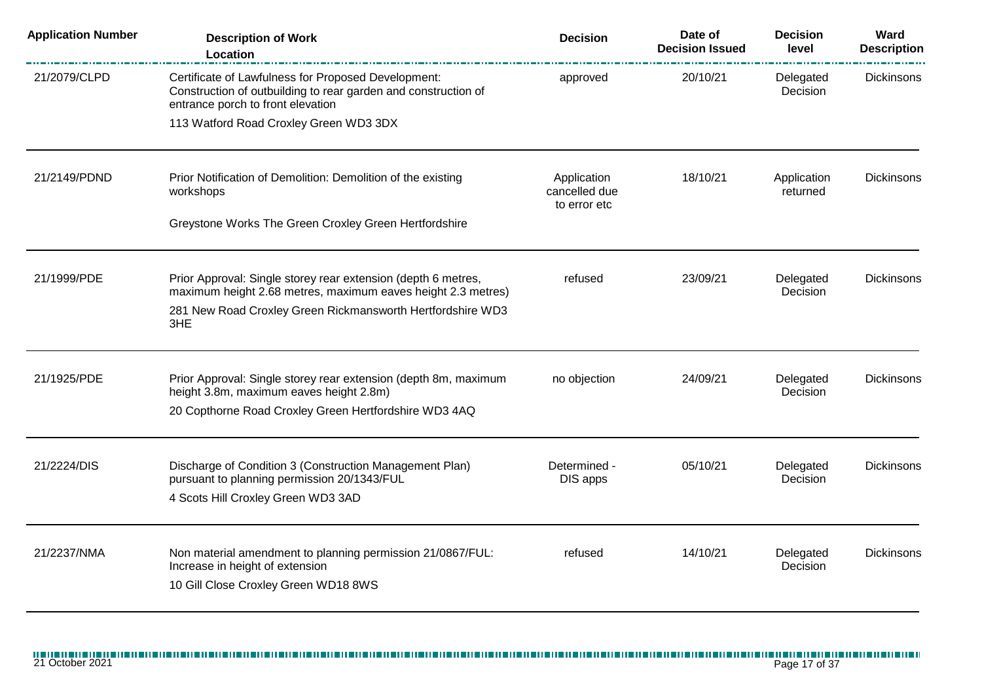| <b>Application Number</b> | <b>Description of Work</b><br>Location                                                                                                                                                             | <b>Decision</b>                              | Date of<br><b>Decision Issued</b> | <b>Decision</b><br>level | Ward<br><b>Description</b> |
|---------------------------|----------------------------------------------------------------------------------------------------------------------------------------------------------------------------------------------------|----------------------------------------------|-----------------------------------|--------------------------|----------------------------|
| 21/2079/CLPD              | Certificate of Lawfulness for Proposed Development:<br>Construction of outbuilding to rear garden and construction of<br>entrance porch to front elevation                                         | approved                                     | 20/10/21                          | Delegated<br>Decision    | Dickinsons                 |
|                           | 113 Watford Road Croxley Green WD3 3DX                                                                                                                                                             |                                              |                                   |                          |                            |
| 21/2149/PDND              | Prior Notification of Demolition: Demolition of the existing<br>workshops                                                                                                                          | Application<br>cancelled due<br>to error etc | 18/10/21                          | Application<br>returned  | <b>Dickinsons</b>          |
|                           | Greystone Works The Green Croxley Green Hertfordshire                                                                                                                                              |                                              |                                   |                          |                            |
| 21/1999/PDE               | Prior Approval: Single storey rear extension (depth 6 metres,<br>maximum height 2.68 metres, maximum eaves height 2.3 metres)<br>281 New Road Croxley Green Rickmansworth Hertfordshire WD3<br>3HE | refused                                      | 23/09/21                          | Delegated<br>Decision    | <b>Dickinsons</b>          |
| 21/1925/PDE               | Prior Approval: Single storey rear extension (depth 8m, maximum<br>height 3.8m, maximum eaves height 2.8m)<br>20 Copthorne Road Croxley Green Hertfordshire WD3 4AQ                                | no objection                                 | 24/09/21                          | Delegated<br>Decision    | <b>Dickinsons</b>          |
| 21/2224/DIS               | Discharge of Condition 3 (Construction Management Plan)<br>pursuant to planning permission 20/1343/FUL<br>4 Scots Hill Croxley Green WD3 3AD                                                       | Determined -<br>DIS apps                     | 05/10/21                          | Delegated<br>Decision    | <b>Dickinsons</b>          |
| 21/2237/NMA               | Non material amendment to planning permission 21/0867/FUL:<br>Increase in height of extension<br>10 Gill Close Croxley Green WD18 8WS                                                              | refused                                      | 14/10/21                          | Delegated<br>Decision    | Dickinsons                 |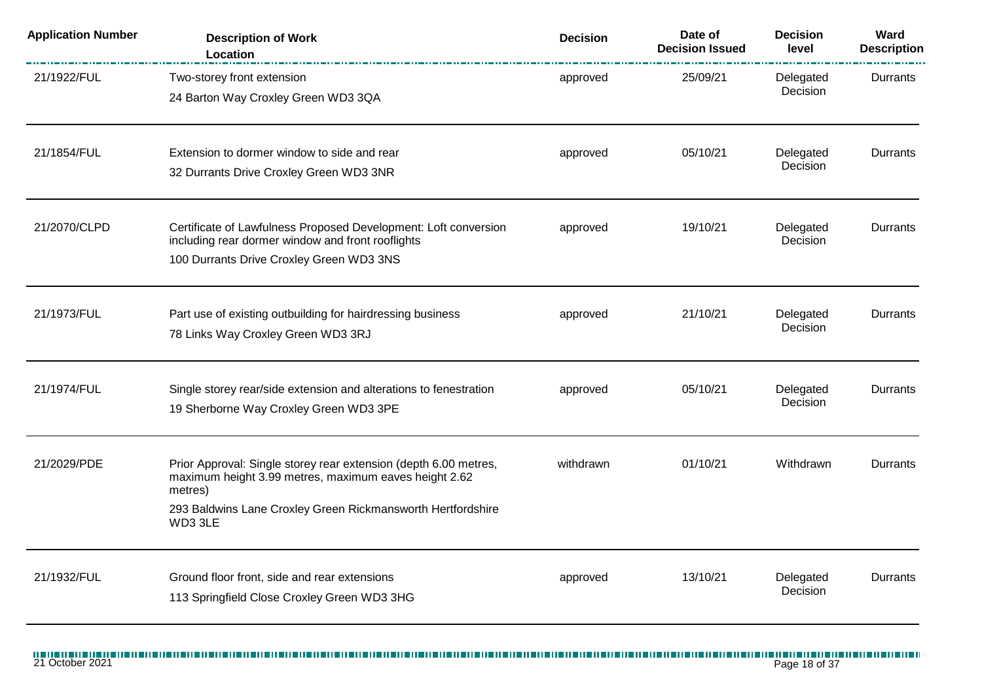| <b>Application Number</b> | <b>Description of Work</b><br>Location                                                                                                                                                                         | <b>Decision</b> | Date of<br><b>Decision Issued</b> | <b>Decision</b><br>level | Ward<br><b>Description</b> |
|---------------------------|----------------------------------------------------------------------------------------------------------------------------------------------------------------------------------------------------------------|-----------------|-----------------------------------|--------------------------|----------------------------|
| 21/1922/FUL               | Two-storey front extension<br>24 Barton Way Croxley Green WD3 3QA                                                                                                                                              | approved        | 25/09/21                          | Delegated<br>Decision    | Durrants                   |
| 21/1854/FUL               | Extension to dormer window to side and rear<br>32 Durrants Drive Croxley Green WD3 3NR                                                                                                                         | approved        | 05/10/21                          | Delegated<br>Decision    | Durrants                   |
| 21/2070/CLPD              | Certificate of Lawfulness Proposed Development: Loft conversion<br>including rear dormer window and front rooflights<br>100 Durrants Drive Croxley Green WD3 3NS                                               | approved        | 19/10/21                          | Delegated<br>Decision    | Durrants                   |
| 21/1973/FUL               | Part use of existing outbuilding for hairdressing business<br>78 Links Way Croxley Green WD3 3RJ                                                                                                               | approved        | 21/10/21                          | Delegated<br>Decision    | Durrants                   |
| 21/1974/FUL               | Single storey rear/side extension and alterations to fenestration<br>19 Sherborne Way Croxley Green WD3 3PE                                                                                                    | approved        | 05/10/21                          | Delegated<br>Decision    | Durrants                   |
| 21/2029/PDE               | Prior Approval: Single storey rear extension (depth 6.00 metres,<br>maximum height 3.99 metres, maximum eaves height 2.62<br>metres)<br>293 Baldwins Lane Croxley Green Rickmansworth Hertfordshire<br>WD3 3LE | withdrawn       | 01/10/21                          | Withdrawn                | Durrants                   |
| 21/1932/FUL               | Ground floor front, side and rear extensions<br>113 Springfield Close Croxley Green WD3 3HG                                                                                                                    | approved        | 13/10/21                          | Delegated<br>Decision    | Durrants                   |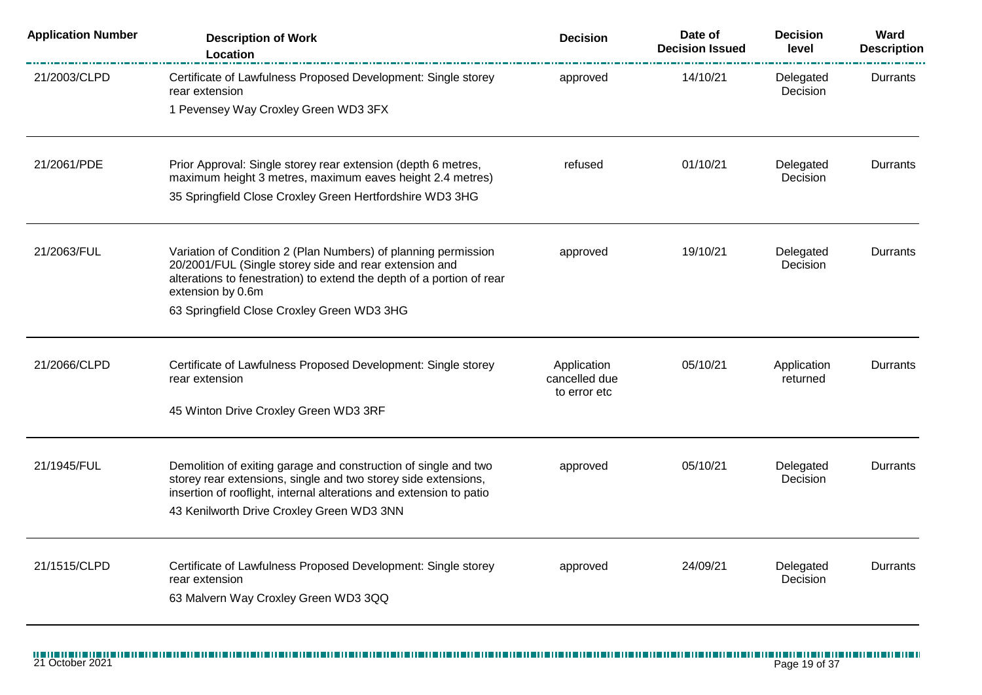| <b>Application Number</b> | <b>Description of Work</b><br>Location                                                                                                                                                                                                                | <b>Decision</b>                              | Date of<br><b>Decision Issued</b> | <b>Decision</b><br>level | Ward<br><b>Description</b> |
|---------------------------|-------------------------------------------------------------------------------------------------------------------------------------------------------------------------------------------------------------------------------------------------------|----------------------------------------------|-----------------------------------|--------------------------|----------------------------|
| 21/2003/CLPD              | Certificate of Lawfulness Proposed Development: Single storey<br>rear extension                                                                                                                                                                       | approved                                     | 14/10/21                          | Delegated<br>Decision    | Durrants                   |
|                           | 1 Pevensey Way Croxley Green WD3 3FX                                                                                                                                                                                                                  |                                              |                                   |                          |                            |
| 21/2061/PDE               | Prior Approval: Single storey rear extension (depth 6 metres,<br>maximum height 3 metres, maximum eaves height 2.4 metres)                                                                                                                            | refused                                      | 01/10/21                          | Delegated<br>Decision    | Durrants                   |
|                           | 35 Springfield Close Croxley Green Hertfordshire WD3 3HG                                                                                                                                                                                              |                                              |                                   |                          |                            |
| 21/2063/FUL               | Variation of Condition 2 (Plan Numbers) of planning permission<br>20/2001/FUL (Single storey side and rear extension and<br>alterations to fenestration) to extend the depth of a portion of rear<br>extension by 0.6m                                | approved                                     | 19/10/21                          | Delegated<br>Decision    | Durrants                   |
|                           | 63 Springfield Close Croxley Green WD3 3HG                                                                                                                                                                                                            |                                              |                                   |                          |                            |
| 21/2066/CLPD              | Certificate of Lawfulness Proposed Development: Single storey<br>rear extension                                                                                                                                                                       | Application<br>cancelled due<br>to error etc | 05/10/21                          | Application<br>returned  | Durrants                   |
|                           | 45 Winton Drive Croxley Green WD3 3RF                                                                                                                                                                                                                 |                                              |                                   |                          |                            |
| 21/1945/FUL               | Demolition of exiting garage and construction of single and two<br>storey rear extensions, single and two storey side extensions,<br>insertion of rooflight, internal alterations and extension to patio<br>43 Kenilworth Drive Croxley Green WD3 3NN | approved                                     | 05/10/21                          | Delegated<br>Decision    | Durrants                   |
| 21/1515/CLPD              | Certificate of Lawfulness Proposed Development: Single storey<br>rear extension<br>63 Malvern Way Croxley Green WD3 3QQ                                                                                                                               | approved                                     | 24/09/21                          | Delegated<br>Decision    | Durrants                   |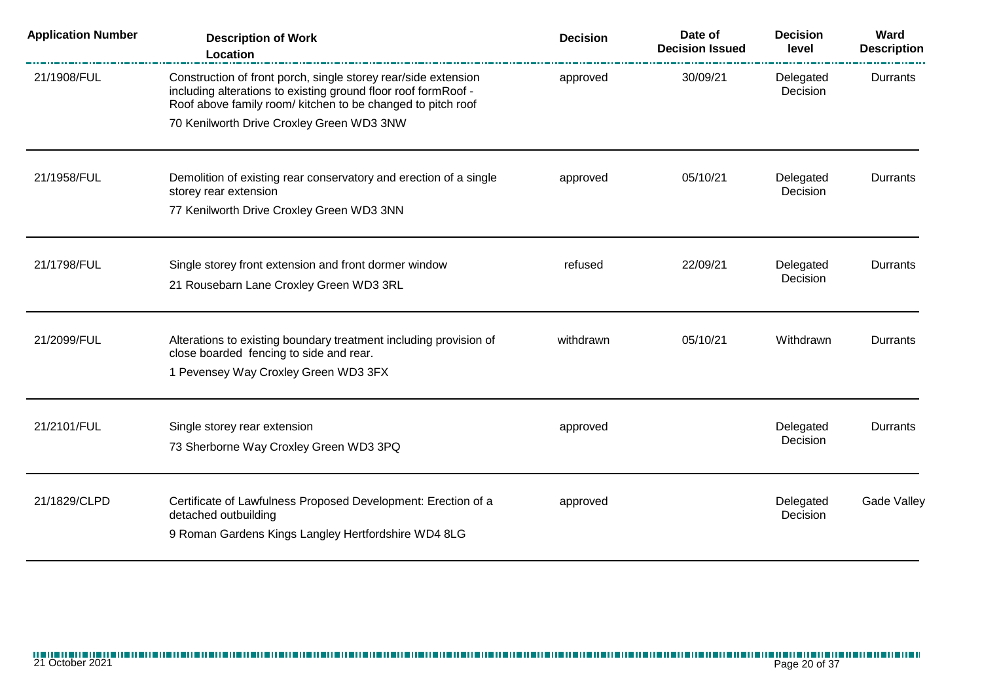| <b>Application Number</b> | <b>Description of Work</b><br>Location                                                                                                                                                          | <b>Decision</b> | Date of<br><b>Decision Issued</b> | <b>Decision</b><br>level | Ward<br><b>Description</b> |
|---------------------------|-------------------------------------------------------------------------------------------------------------------------------------------------------------------------------------------------|-----------------|-----------------------------------|--------------------------|----------------------------|
| 21/1908/FUL               | Construction of front porch, single storey rear/side extension<br>including alterations to existing ground floor roof formRoof -<br>Roof above family room/ kitchen to be changed to pitch roof | approved        | 30/09/21                          | Delegated<br>Decision    | Durrants                   |
|                           | 70 Kenilworth Drive Croxley Green WD3 3NW                                                                                                                                                       |                 |                                   |                          |                            |
| 21/1958/FUL               | Demolition of existing rear conservatory and erection of a single<br>storey rear extension                                                                                                      | approved        | 05/10/21                          | Delegated<br>Decision    | Durrants                   |
|                           | 77 Kenilworth Drive Croxley Green WD3 3NN                                                                                                                                                       |                 |                                   |                          |                            |
| 21/1798/FUL               | Single storey front extension and front dormer window                                                                                                                                           | refused         | 22/09/21                          | Delegated                | <b>Durrants</b>            |
|                           | 21 Rousebarn Lane Croxley Green WD3 3RL                                                                                                                                                         |                 |                                   | Decision                 |                            |
| 21/2099/FUL               | Alterations to existing boundary treatment including provision of                                                                                                                               | withdrawn       | 05/10/21                          | Withdrawn                | Durrants                   |
|                           | close boarded fencing to side and rear.<br>1 Pevensey Way Croxley Green WD3 3FX                                                                                                                 |                 |                                   |                          |                            |
| 21/2101/FUL               | Single storey rear extension                                                                                                                                                                    | approved        |                                   | Delegated                | Durrants                   |
|                           | 73 Sherborne Way Croxley Green WD3 3PQ                                                                                                                                                          |                 |                                   | Decision                 |                            |
| 21/1829/CLPD              | Certificate of Lawfulness Proposed Development: Erection of a                                                                                                                                   | approved        |                                   | Delegated                | <b>Gade Valley</b>         |
|                           | detached outbuilding<br>9 Roman Gardens Kings Langley Hertfordshire WD4 8LG                                                                                                                     |                 |                                   | Decision                 |                            |
|                           |                                                                                                                                                                                                 |                 |                                   |                          |                            |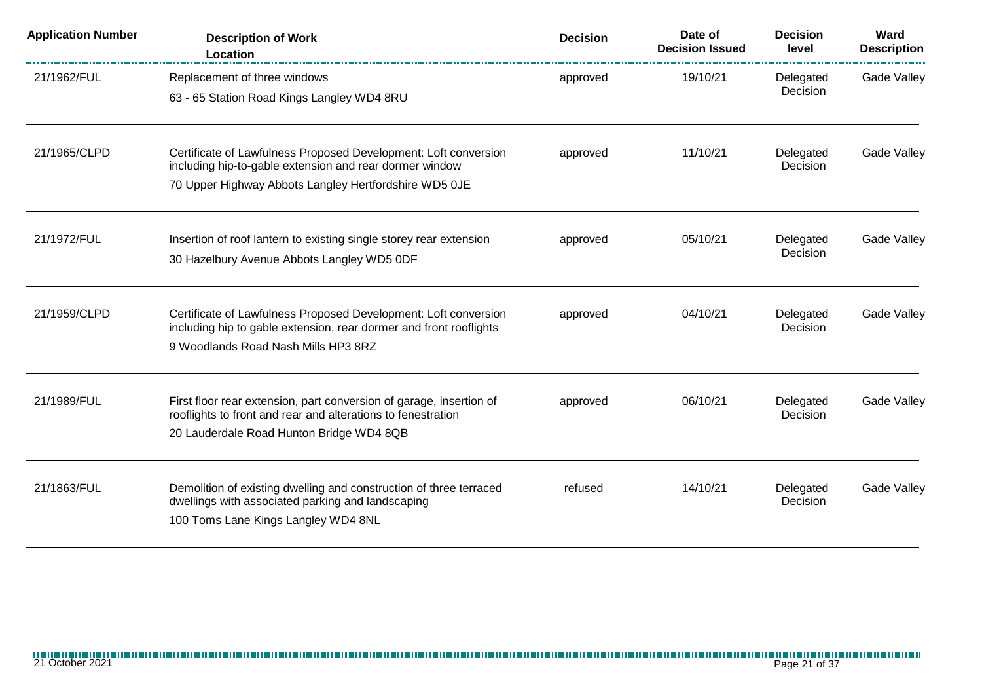| <b>Application Number</b> | <b>Description of Work</b><br>Location                                                                                                                                              | <b>Decision</b> | Date of<br><b>Decision Issued</b> | <b>Decision</b><br>level | Ward<br><b>Description</b> |
|---------------------------|-------------------------------------------------------------------------------------------------------------------------------------------------------------------------------------|-----------------|-----------------------------------|--------------------------|----------------------------|
| 21/1962/FUL               | Replacement of three windows<br>63 - 65 Station Road Kings Langley WD4 8RU                                                                                                          | approved        | 19/10/21                          | Delegated<br>Decision    | Gade Valley                |
| 21/1965/CLPD              | Certificate of Lawfulness Proposed Development: Loft conversion<br>including hip-to-gable extension and rear dormer window<br>70 Upper Highway Abbots Langley Hertfordshire WD5 0JE | approved        | 11/10/21                          | Delegated<br>Decision    | Gade Valley                |
| 21/1972/FUL               | Insertion of roof lantern to existing single storey rear extension<br>30 Hazelbury Avenue Abbots Langley WD5 0DF                                                                    | approved        | 05/10/21                          | Delegated<br>Decision    | Gade Valley                |
| 21/1959/CLPD              | Certificate of Lawfulness Proposed Development: Loft conversion<br>including hip to gable extension, rear dormer and front rooflights<br>9 Woodlands Road Nash Mills HP3 8RZ        | approved        | 04/10/21                          | Delegated<br>Decision    | Gade Valley                |
| 21/1989/FUL               | First floor rear extension, part conversion of garage, insertion of<br>rooflights to front and rear and alterations to fenestration<br>20 Lauderdale Road Hunton Bridge WD4 8QB     | approved        | 06/10/21                          | Delegated<br>Decision    | Gade Valley                |
| 21/1863/FUL               | Demolition of existing dwelling and construction of three terraced<br>dwellings with associated parking and landscaping<br>100 Toms Lane Kings Langley WD4 8NL                      | refused         | 14/10/21                          | Delegated<br>Decision    | <b>Gade Valley</b>         |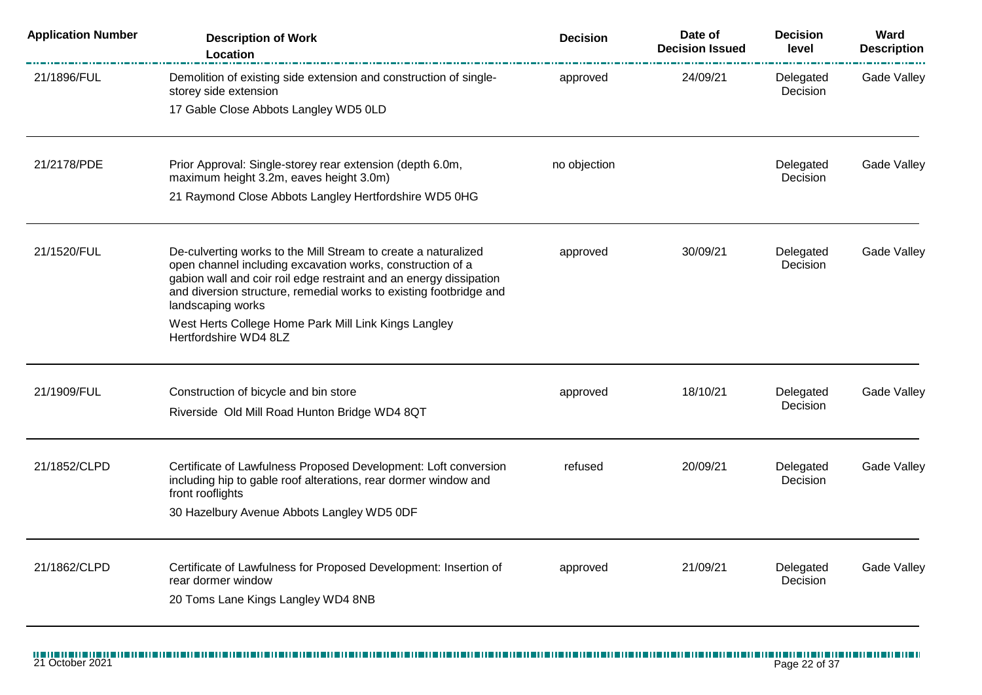| <b>Application Number</b> | <b>Description of Work</b><br>Location                                                                                                                                                                                                                                                        | <b>Decision</b> | Date of<br><b>Decision Issued</b> | <b>Decision</b><br>level | Ward<br><b>Description</b> |
|---------------------------|-----------------------------------------------------------------------------------------------------------------------------------------------------------------------------------------------------------------------------------------------------------------------------------------------|-----------------|-----------------------------------|--------------------------|----------------------------|
| 21/1896/FUL               | Demolition of existing side extension and construction of single-<br>storey side extension                                                                                                                                                                                                    | approved        | 24/09/21                          | Delegated<br>Decision    | Gade Valley                |
|                           | 17 Gable Close Abbots Langley WD5 0LD                                                                                                                                                                                                                                                         |                 |                                   |                          |                            |
| 21/2178/PDE               | Prior Approval: Single-storey rear extension (depth 6.0m,<br>maximum height 3.2m, eaves height 3.0m)                                                                                                                                                                                          | no objection    |                                   | Delegated<br>Decision    | Gade Valley                |
|                           | 21 Raymond Close Abbots Langley Hertfordshire WD5 0HG                                                                                                                                                                                                                                         |                 |                                   |                          |                            |
| 21/1520/FUL               | De-culverting works to the Mill Stream to create a naturalized<br>open channel including excavation works, construction of a<br>gabion wall and coir roil edge restraint and an energy dissipation<br>and diversion structure, remedial works to existing footbridge and<br>landscaping works | approved        | 30/09/21                          | Delegated<br>Decision    | Gade Valley                |
|                           | West Herts College Home Park Mill Link Kings Langley<br>Hertfordshire WD4 8LZ                                                                                                                                                                                                                 |                 |                                   |                          |                            |
| 21/1909/FUL               | Construction of bicycle and bin store<br>Riverside Old Mill Road Hunton Bridge WD4 8QT                                                                                                                                                                                                        | approved        | 18/10/21                          | Delegated<br>Decision    | <b>Gade Valley</b>         |
| 21/1852/CLPD              | Certificate of Lawfulness Proposed Development: Loft conversion<br>including hip to gable roof alterations, rear dormer window and<br>front rooflights<br>30 Hazelbury Avenue Abbots Langley WD5 0DF                                                                                          | refused         | 20/09/21                          | Delegated<br>Decision    | Gade Valley                |
| 21/1862/CLPD              | Certificate of Lawfulness for Proposed Development: Insertion of<br>rear dormer window<br>20 Toms Lane Kings Langley WD4 8NB                                                                                                                                                                  | approved        | 21/09/21                          | Delegated<br>Decision    | Gade Valley                |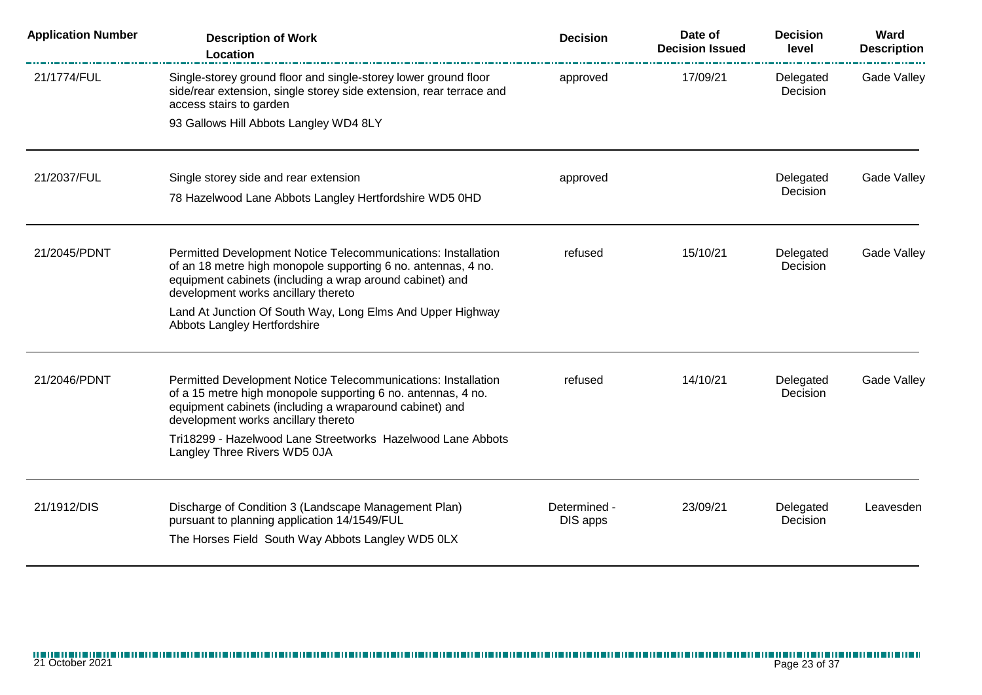| <b>Application Number</b> | <b>Description of Work</b><br>Location                                                                                                                                                                                                                                                                                          | <b>Decision</b>          | Date of<br><b>Decision Issued</b> | <b>Decision</b><br>level | Ward<br><b>Description</b> |
|---------------------------|---------------------------------------------------------------------------------------------------------------------------------------------------------------------------------------------------------------------------------------------------------------------------------------------------------------------------------|--------------------------|-----------------------------------|--------------------------|----------------------------|
| 21/1774/FUL               | Single-storey ground floor and single-storey lower ground floor<br>side/rear extension, single storey side extension, rear terrace and<br>access stairs to garden<br>93 Gallows Hill Abbots Langley WD4 8LY                                                                                                                     | approved                 | 17/09/21                          | Delegated<br>Decision    | Gade Valley                |
| 21/2037/FUL               | Single storey side and rear extension<br>78 Hazelwood Lane Abbots Langley Hertfordshire WD5 0HD                                                                                                                                                                                                                                 | approved                 |                                   | Delegated<br>Decision    | Gade Valley                |
| 21/2045/PDNT              | Permitted Development Notice Telecommunications: Installation<br>of an 18 metre high monopole supporting 6 no. antennas, 4 no.<br>equipment cabinets (including a wrap around cabinet) and<br>development works ancillary thereto<br>Land At Junction Of South Way, Long Elms And Upper Highway<br>Abbots Langley Hertfordshire | refused                  | 15/10/21                          | Delegated<br>Decision    | Gade Valley                |
| 21/2046/PDNT              | Permitted Development Notice Telecommunications: Installation<br>of a 15 metre high monopole supporting 6 no. antennas, 4 no.<br>equipment cabinets (including a wraparound cabinet) and<br>development works ancillary thereto<br>Tri18299 - Hazelwood Lane Streetworks Hazelwood Lane Abbots<br>Langley Three Rivers WD5 0JA  | refused                  | 14/10/21                          | Delegated<br>Decision    | Gade Valley                |
| 21/1912/DIS               | Discharge of Condition 3 (Landscape Management Plan)<br>pursuant to planning application 14/1549/FUL<br>The Horses Field South Way Abbots Langley WD5 0LX                                                                                                                                                                       | Determined -<br>DIS apps | 23/09/21                          | Delegated<br>Decision    | Leavesden                  |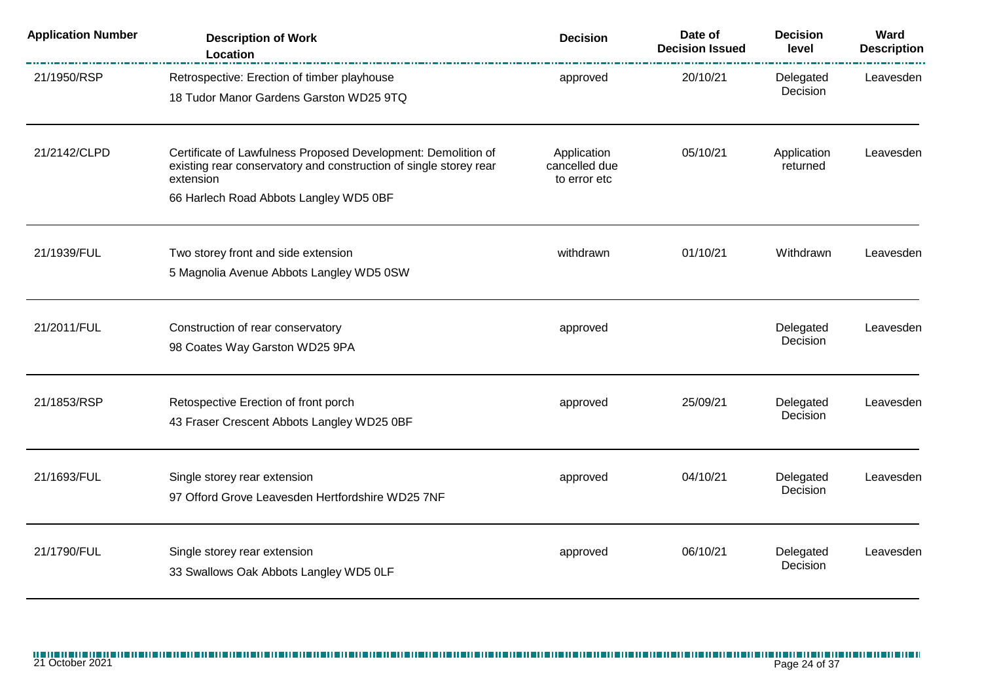| <b>Application Number</b> | <b>Description of Work</b><br>Location                                                                                                                                                    | <b>Decision</b>                              | Date of<br><b>Decision Issued</b> | <b>Decision</b><br>level | Ward<br><b>Description</b> |
|---------------------------|-------------------------------------------------------------------------------------------------------------------------------------------------------------------------------------------|----------------------------------------------|-----------------------------------|--------------------------|----------------------------|
| 21/1950/RSP               | Retrospective: Erection of timber playhouse<br>18 Tudor Manor Gardens Garston WD25 9TQ                                                                                                    | approved                                     | 20/10/21                          | Delegated<br>Decision    | Leavesden                  |
| 21/2142/CLPD              | Certificate of Lawfulness Proposed Development: Demolition of<br>existing rear conservatory and construction of single storey rear<br>extension<br>66 Harlech Road Abbots Langley WD5 0BF | Application<br>cancelled due<br>to error etc | 05/10/21                          | Application<br>returned  | Leavesden                  |
| 21/1939/FUL               | Two storey front and side extension<br>5 Magnolia Avenue Abbots Langley WD5 0SW                                                                                                           | withdrawn                                    | 01/10/21                          | Withdrawn                | Leavesden                  |
| 21/2011/FUL               | Construction of rear conservatory<br>98 Coates Way Garston WD25 9PA                                                                                                                       | approved                                     |                                   | Delegated<br>Decision    | Leavesden                  |
| 21/1853/RSP               | Retospective Erection of front porch<br>43 Fraser Crescent Abbots Langley WD25 0BF                                                                                                        | approved                                     | 25/09/21                          | Delegated<br>Decision    | Leavesden                  |
| 21/1693/FUL               | Single storey rear extension<br>97 Offord Grove Leavesden Hertfordshire WD25 7NF                                                                                                          | approved                                     | 04/10/21                          | Delegated<br>Decision    | Leavesden                  |
| 21/1790/FUL               | Single storey rear extension<br>33 Swallows Oak Abbots Langley WD5 0LF                                                                                                                    | approved                                     | 06/10/21                          | Delegated<br>Decision    | Leavesden                  |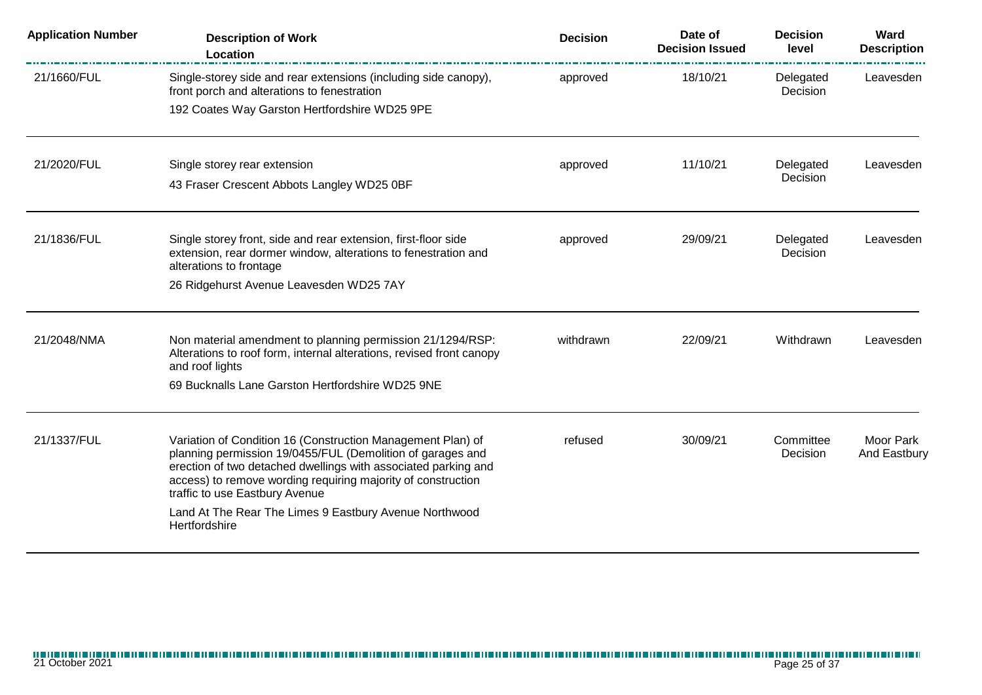| <b>Application Number</b> | <b>Description of Work</b><br>Location                                                                                                                                                                                                                                                        | <b>Decision</b> | Date of<br><b>Decision Issued</b> | <b>Decision</b><br>level | Ward<br><b>Description</b>       |
|---------------------------|-----------------------------------------------------------------------------------------------------------------------------------------------------------------------------------------------------------------------------------------------------------------------------------------------|-----------------|-----------------------------------|--------------------------|----------------------------------|
| 21/1660/FUL               | Single-storey side and rear extensions (including side canopy),<br>front porch and alterations to fenestration                                                                                                                                                                                | approved        | 18/10/21                          | Delegated<br>Decision    | Leavesden                        |
|                           | 192 Coates Way Garston Hertfordshire WD25 9PE                                                                                                                                                                                                                                                 |                 |                                   |                          |                                  |
| 21/2020/FUL               | Single storey rear extension                                                                                                                                                                                                                                                                  | approved        | 11/10/21                          | Delegated                | Leavesden                        |
|                           | 43 Fraser Crescent Abbots Langley WD25 0BF                                                                                                                                                                                                                                                    |                 |                                   | Decision                 |                                  |
| 21/1836/FUL               | Single storey front, side and rear extension, first-floor side<br>extension, rear dormer window, alterations to fenestration and<br>alterations to frontage                                                                                                                                   | approved        | 29/09/21                          | Delegated<br>Decision    | Leavesden                        |
|                           | 26 Ridgehurst Avenue Leavesden WD25 7AY                                                                                                                                                                                                                                                       |                 |                                   |                          |                                  |
| 21/2048/NMA               | Non material amendment to planning permission 21/1294/RSP:<br>Alterations to roof form, internal alterations, revised front canopy<br>and roof lights                                                                                                                                         | withdrawn       | 22/09/21                          | Withdrawn                | Leavesden                        |
|                           | 69 Bucknalls Lane Garston Hertfordshire WD25 9NE                                                                                                                                                                                                                                              |                 |                                   |                          |                                  |
| 21/1337/FUL               | Variation of Condition 16 (Construction Management Plan) of<br>planning permission 19/0455/FUL (Demolition of garages and<br>erection of two detached dwellings with associated parking and<br>access) to remove wording requiring majority of construction<br>traffic to use Eastbury Avenue | refused         | 30/09/21                          | Committee<br>Decision    | <b>Moor Park</b><br>And Eastbury |
|                           | Land At The Rear The Limes 9 Eastbury Avenue Northwood<br>Hertfordshire                                                                                                                                                                                                                       |                 |                                   |                          |                                  |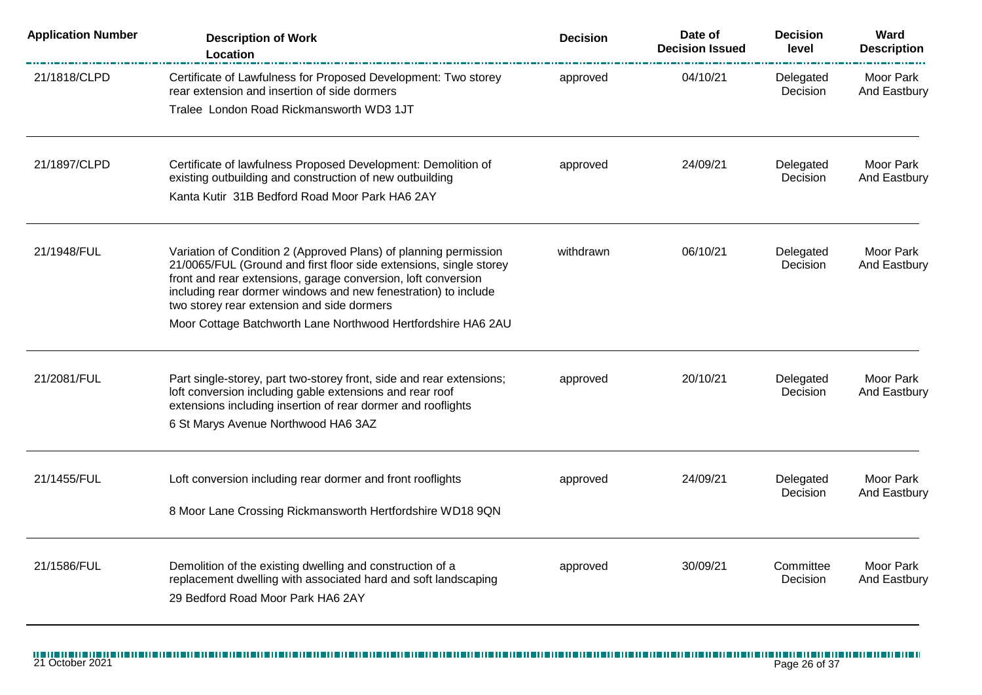| <b>Application Number</b> | <b>Description of Work</b><br>Location                                                                                                                                                                                                                                                                                                                                                  | <b>Decision</b> | Date of<br><b>Decision Issued</b> | <b>Decision</b><br>level     | Ward<br><b>Description</b>       |
|---------------------------|-----------------------------------------------------------------------------------------------------------------------------------------------------------------------------------------------------------------------------------------------------------------------------------------------------------------------------------------------------------------------------------------|-----------------|-----------------------------------|------------------------------|----------------------------------|
| 21/1818/CLPD              | Certificate of Lawfulness for Proposed Development: Two storey<br>rear extension and insertion of side dormers                                                                                                                                                                                                                                                                          | approved        | 04/10/21                          | Delegated<br>Decision        | Moor Park<br>And Eastbury        |
|                           | Tralee London Road Rickmansworth WD3 1JT                                                                                                                                                                                                                                                                                                                                                |                 |                                   |                              |                                  |
| 21/1897/CLPD              | Certificate of lawfulness Proposed Development: Demolition of<br>existing outbuilding and construction of new outbuilding                                                                                                                                                                                                                                                               | approved        | 24/09/21                          | Delegated<br>Decision        | Moor Park<br>And Eastbury        |
|                           | Kanta Kutir 31B Bedford Road Moor Park HA6 2AY                                                                                                                                                                                                                                                                                                                                          |                 |                                   |                              |                                  |
| 21/1948/FUL               | Variation of Condition 2 (Approved Plans) of planning permission<br>21/0065/FUL (Ground and first floor side extensions, single storey<br>front and rear extensions, garage conversion, loft conversion<br>including rear dormer windows and new fenestration) to include<br>two storey rear extension and side dormers<br>Moor Cottage Batchworth Lane Northwood Hertfordshire HA6 2AU | withdrawn       | 06/10/21                          | Delegated<br>Decision        | Moor Park<br>And Eastbury        |
| 21/2081/FUL               | Part single-storey, part two-storey front, side and rear extensions;<br>loft conversion including gable extensions and rear roof<br>extensions including insertion of rear dormer and rooflights<br>6 St Marys Avenue Northwood HA6 3AZ                                                                                                                                                 | approved        | 20/10/21                          | Delegated<br>Decision        | Moor Park<br>And Eastbury        |
| 21/1455/FUL               | Loft conversion including rear dormer and front rooflights<br>8 Moor Lane Crossing Rickmansworth Hertfordshire WD18 9QN                                                                                                                                                                                                                                                                 | approved        | 24/09/21                          | Delegated<br><b>Decision</b> | Moor Park<br>And Eastbury        |
| 21/1586/FUL               | Demolition of the existing dwelling and construction of a<br>replacement dwelling with associated hard and soft landscaping<br>29 Bedford Road Moor Park HA6 2AY                                                                                                                                                                                                                        | approved        | 30/09/21                          | Committee<br>Decision        | <b>Moor Park</b><br>And Eastbury |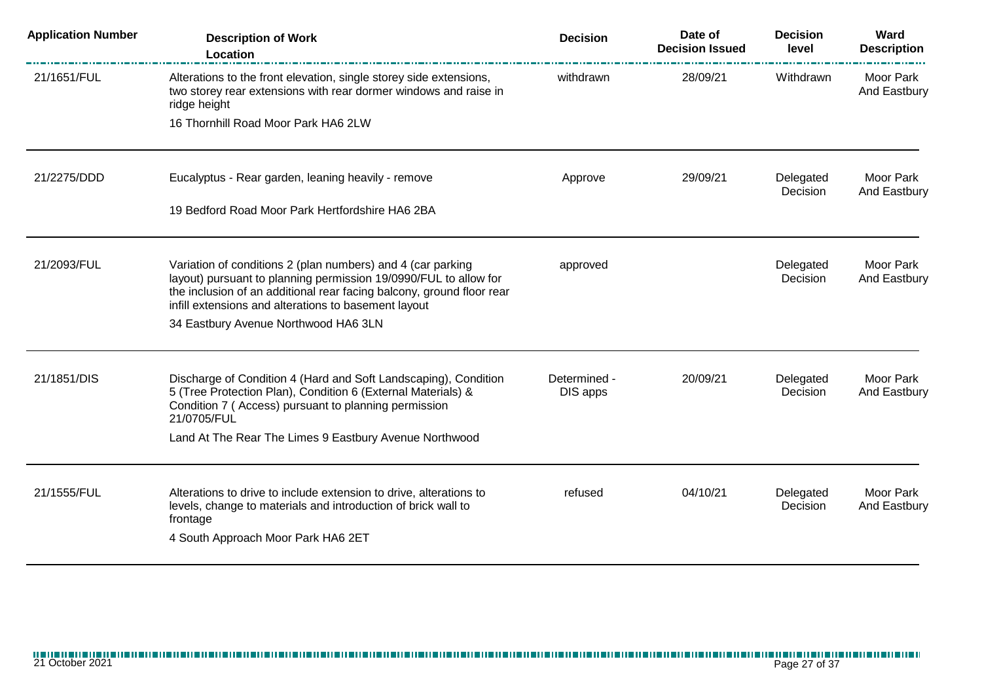| <b>Application Number</b> | <b>Description of Work</b><br>Location                                                                                                                                                                                                                           | <b>Decision</b>          | Date of<br><b>Decision Issued</b> | <b>Decision</b><br>level | Ward<br><b>Description</b>       |
|---------------------------|------------------------------------------------------------------------------------------------------------------------------------------------------------------------------------------------------------------------------------------------------------------|--------------------------|-----------------------------------|--------------------------|----------------------------------|
| 21/1651/FUL               | Alterations to the front elevation, single storey side extensions,<br>two storey rear extensions with rear dormer windows and raise in<br>ridge height                                                                                                           | withdrawn                | 28/09/21                          | Withdrawn                | Moor Park<br>And Eastbury        |
|                           | 16 Thornhill Road Moor Park HA6 2LW                                                                                                                                                                                                                              |                          |                                   |                          |                                  |
| 21/2275/DDD               | Eucalyptus - Rear garden, leaning heavily - remove                                                                                                                                                                                                               | Approve                  | 29/09/21                          | Delegated<br>Decision    | Moor Park<br>And Eastbury        |
|                           | 19 Bedford Road Moor Park Hertfordshire HA6 2BA                                                                                                                                                                                                                  |                          |                                   |                          |                                  |
| 21/2093/FUL               | Variation of conditions 2 (plan numbers) and 4 (car parking<br>layout) pursuant to planning permission 19/0990/FUL to allow for<br>the inclusion of an additional rear facing balcony, ground floor rear<br>infill extensions and alterations to basement layout | approved                 |                                   | Delegated<br>Decision    | <b>Moor Park</b><br>And Eastbury |
|                           | 34 Eastbury Avenue Northwood HA6 3LN                                                                                                                                                                                                                             |                          |                                   |                          |                                  |
| 21/1851/DIS               | Discharge of Condition 4 (Hard and Soft Landscaping), Condition<br>5 (Tree Protection Plan), Condition 6 (External Materials) &<br>Condition 7 (Access) pursuant to planning permission<br>21/0705/FUL                                                           | Determined -<br>DIS apps | 20/09/21                          | Delegated<br>Decision    | Moor Park<br>And Eastbury        |
|                           | Land At The Rear The Limes 9 Eastbury Avenue Northwood                                                                                                                                                                                                           |                          |                                   |                          |                                  |
| 21/1555/FUL               | Alterations to drive to include extension to drive, alterations to<br>levels, change to materials and introduction of brick wall to<br>frontage                                                                                                                  | refused                  | 04/10/21                          | Delegated<br>Decision    | Moor Park<br>And Eastbury        |
|                           | 4 South Approach Moor Park HA6 2ET                                                                                                                                                                                                                               |                          |                                   |                          |                                  |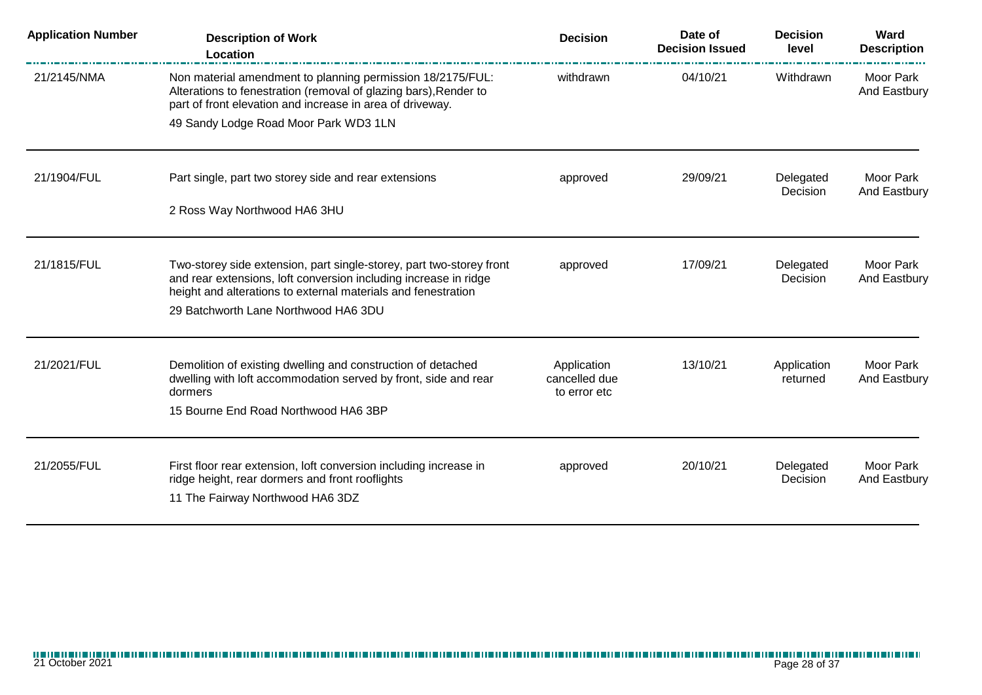| <b>Application Number</b> | <b>Description of Work</b><br>Location                                                                                                                                                                    | <b>Decision</b>                              | Date of<br><b>Decision Issued</b> | <b>Decision</b><br>level | Ward<br><b>Description</b> |
|---------------------------|-----------------------------------------------------------------------------------------------------------------------------------------------------------------------------------------------------------|----------------------------------------------|-----------------------------------|--------------------------|----------------------------|
| 21/2145/NMA               | Non material amendment to planning permission 18/2175/FUL:<br>Alterations to fenestration (removal of glazing bars), Render to<br>part of front elevation and increase in area of driveway.               | withdrawn                                    | 04/10/21                          | Withdrawn                | Moor Park<br>And Eastbury  |
|                           | 49 Sandy Lodge Road Moor Park WD3 1LN                                                                                                                                                                     |                                              |                                   |                          |                            |
| 21/1904/FUL               | Part single, part two storey side and rear extensions                                                                                                                                                     | approved                                     | 29/09/21                          | Delegated<br>Decision    | Moor Park<br>And Eastbury  |
|                           | 2 Ross Way Northwood HA6 3HU                                                                                                                                                                              |                                              |                                   |                          |                            |
| 21/1815/FUL               | Two-storey side extension, part single-storey, part two-storey front<br>and rear extensions, loft conversion including increase in ridge<br>height and alterations to external materials and fenestration | approved                                     | 17/09/21                          | Delegated<br>Decision    | Moor Park<br>And Eastbury  |
|                           | 29 Batchworth Lane Northwood HA6 3DU                                                                                                                                                                      |                                              |                                   |                          |                            |
| 21/2021/FUL               | Demolition of existing dwelling and construction of detached<br>dwelling with loft accommodation served by front, side and rear<br>dormers                                                                | Application<br>cancelled due<br>to error etc | 13/10/21                          | Application<br>returned  | Moor Park<br>And Eastbury  |
|                           | 15 Bourne End Road Northwood HA6 3BP                                                                                                                                                                      |                                              |                                   |                          |                            |
| 21/2055/FUL               | First floor rear extension, loft conversion including increase in<br>ridge height, rear dormers and front rooflights<br>11 The Fairway Northwood HA6 3DZ                                                  | approved                                     | 20/10/21                          | Delegated<br>Decision    | Moor Park<br>And Eastbury  |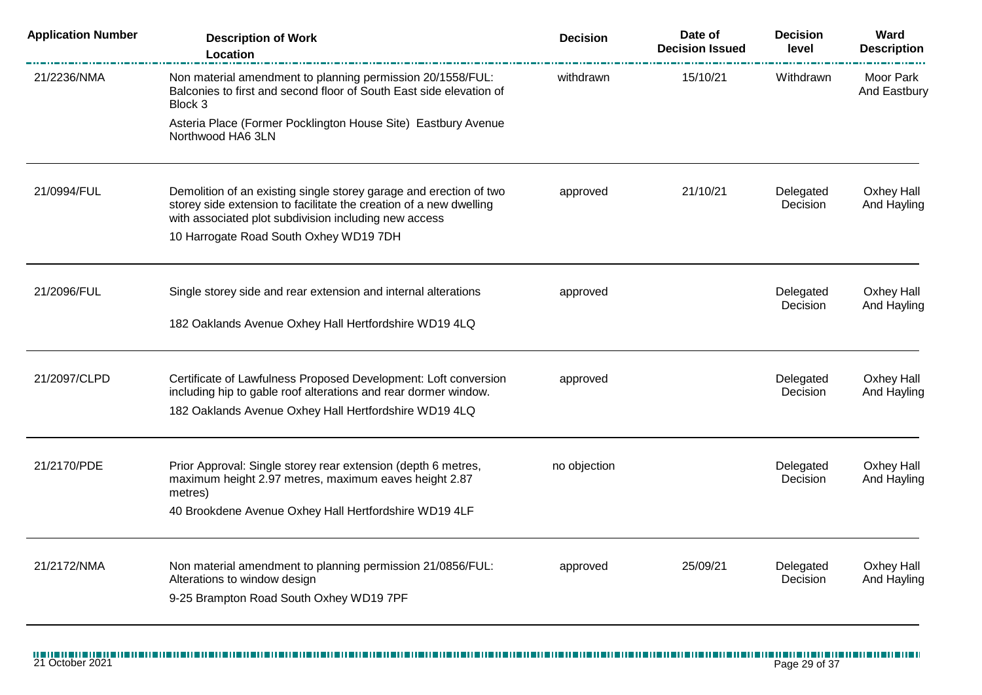| <b>Application Number</b> | <b>Description of Work</b><br>Location                                                                                                                                                            | <b>Decision</b> | Date of<br><b>Decision Issued</b> | <b>Decision</b><br>level | Ward<br><b>Description</b> |
|---------------------------|---------------------------------------------------------------------------------------------------------------------------------------------------------------------------------------------------|-----------------|-----------------------------------|--------------------------|----------------------------|
| 21/2236/NMA               | Non material amendment to planning permission 20/1558/FUL:<br>Balconies to first and second floor of South East side elevation of<br>Block 3                                                      | withdrawn       | 15/10/21                          | Withdrawn                | Moor Park<br>And Eastbury  |
|                           | Asteria Place (Former Pocklington House Site) Eastbury Avenue<br>Northwood HA6 3LN                                                                                                                |                 |                                   |                          |                            |
| 21/0994/FUL               | Demolition of an existing single storey garage and erection of two<br>storey side extension to facilitate the creation of a new dwelling<br>with associated plot subdivision including new access | approved        | 21/10/21                          | Delegated<br>Decision    | Oxhey Hall<br>And Hayling  |
|                           | 10 Harrogate Road South Oxhey WD19 7DH                                                                                                                                                            |                 |                                   |                          |                            |
| 21/2096/FUL               | Single storey side and rear extension and internal alterations                                                                                                                                    | approved        |                                   | Delegated<br>Decision    | Oxhey Hall<br>And Hayling  |
|                           | 182 Oaklands Avenue Oxhey Hall Hertfordshire WD19 4LQ                                                                                                                                             |                 |                                   |                          |                            |
| 21/2097/CLPD              | Certificate of Lawfulness Proposed Development: Loft conversion<br>including hip to gable roof alterations and rear dormer window.                                                                | approved        |                                   | Delegated<br>Decision    | Oxhey Hall<br>And Hayling  |
|                           | 182 Oaklands Avenue Oxhey Hall Hertfordshire WD19 4LQ                                                                                                                                             |                 |                                   |                          |                            |
| 21/2170/PDE               | Prior Approval: Single storey rear extension (depth 6 metres,<br>maximum height 2.97 metres, maximum eaves height 2.87<br>metres)                                                                 | no objection    |                                   | Delegated<br>Decision    | Oxhey Hall<br>And Hayling  |
|                           | 40 Brookdene Avenue Oxhey Hall Hertfordshire WD19 4LF                                                                                                                                             |                 |                                   |                          |                            |
| 21/2172/NMA               | Non material amendment to planning permission 21/0856/FUL:<br>Alterations to window design                                                                                                        | approved        | 25/09/21                          | Delegated<br>Decision    | Oxhey Hall<br>And Hayling  |
|                           | 9-25 Brampton Road South Oxhey WD19 7PF                                                                                                                                                           |                 |                                   |                          |                            |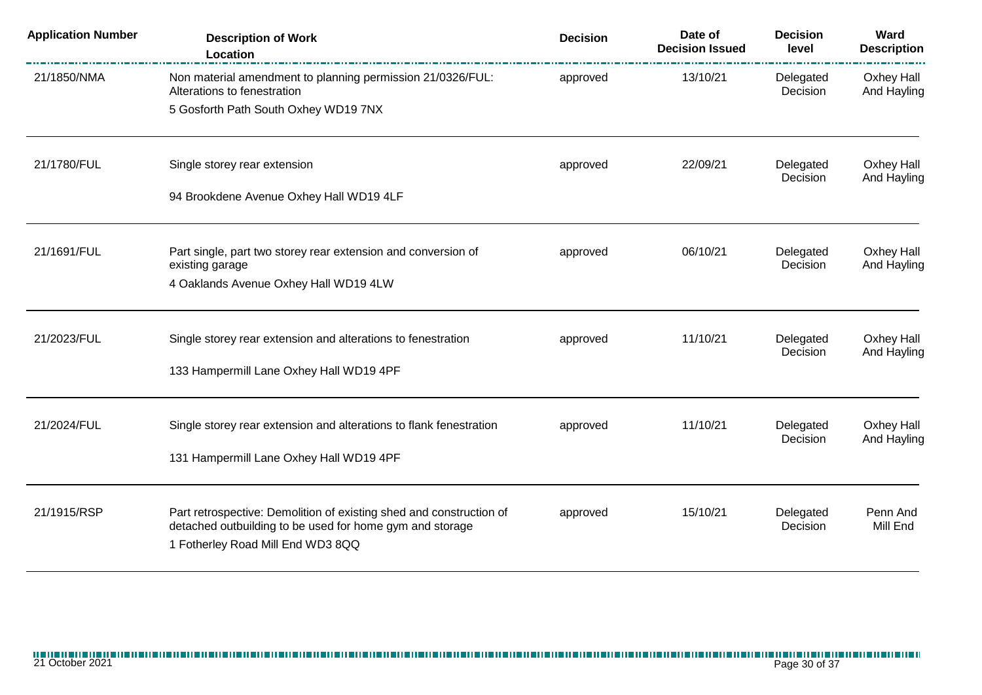| <b>Application Number</b> | <b>Description of Work</b><br>Location                                                        | <b>Decision</b> | Date of<br><b>Decision Issued</b> | <b>Decision</b><br>level | Ward<br><b>Description</b> |
|---------------------------|-----------------------------------------------------------------------------------------------|-----------------|-----------------------------------|--------------------------|----------------------------|
| 21/1850/NMA               | Non material amendment to planning permission 21/0326/FUL:<br>Alterations to fenestration     | approved        | 13/10/21                          | Delegated<br>Decision    | Oxhey Hall<br>And Hayling  |
|                           | 5 Gosforth Path South Oxhey WD19 7NX                                                          |                 |                                   |                          |                            |
| 21/1780/FUL               | Single storey rear extension                                                                  | approved        | 22/09/21                          | Delegated<br>Decision    | Oxhey Hall<br>And Hayling  |
|                           | 94 Brookdene Avenue Oxhey Hall WD19 4LF                                                       |                 |                                   |                          |                            |
| 21/1691/FUL               | Part single, part two storey rear extension and conversion of                                 | approved        | 06/10/21                          | Delegated<br>Decision    | Oxhey Hall                 |
|                           | existing garage<br>4 Oaklands Avenue Oxhey Hall WD19 4LW                                      |                 |                                   |                          | And Hayling                |
| 21/2023/FUL               | Single storey rear extension and alterations to fenestration                                  | approved        | 11/10/21                          | Delegated                | Oxhey Hall                 |
|                           | 133 Hampermill Lane Oxhey Hall WD19 4PF                                                       |                 |                                   | Decision                 | And Hayling                |
| 21/2024/FUL               | Single storey rear extension and alterations to flank fenestration                            | approved        | 11/10/21                          | Delegated                | Oxhey Hall                 |
|                           | 131 Hampermill Lane Oxhey Hall WD19 4PF                                                       |                 |                                   | Decision                 | And Hayling                |
| 21/1915/RSP               | Part retrospective: Demolition of existing shed and construction of                           | approved        | 15/10/21                          | Delegated                | Penn And                   |
|                           | detached outbuilding to be used for home gym and storage<br>1 Fotherley Road Mill End WD3 8QQ |                 |                                   | Decision                 | Mill End                   |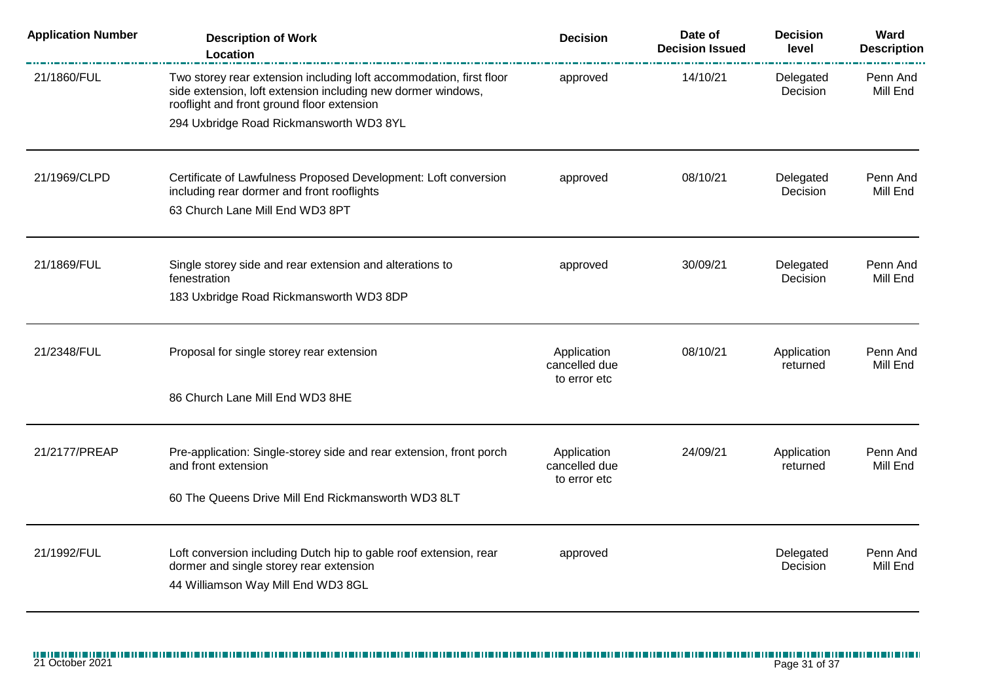| <b>Application Number</b> | <b>Description of Work</b><br>Location                                                                                                                                            | <b>Decision</b>                              | Date of<br><b>Decision Issued</b> | <b>Decision</b><br>level | Ward<br><b>Description</b> |
|---------------------------|-----------------------------------------------------------------------------------------------------------------------------------------------------------------------------------|----------------------------------------------|-----------------------------------|--------------------------|----------------------------|
| 21/1860/FUL               | Two storey rear extension including loft accommodation, first floor<br>side extension, loft extension including new dormer windows,<br>rooflight and front ground floor extension | approved                                     | 14/10/21                          | Delegated<br>Decision    | Penn And<br>Mill End       |
|                           | 294 Uxbridge Road Rickmansworth WD3 8YL                                                                                                                                           |                                              |                                   |                          |                            |
| 21/1969/CLPD              | Certificate of Lawfulness Proposed Development: Loft conversion<br>including rear dormer and front rooflights                                                                     | approved                                     | 08/10/21                          | Delegated<br>Decision    | Penn And<br>Mill End       |
|                           | 63 Church Lane Mill End WD3 8PT                                                                                                                                                   |                                              |                                   |                          |                            |
| 21/1869/FUL               | Single storey side and rear extension and alterations to<br>fenestration                                                                                                          | approved                                     | 30/09/21                          | Delegated<br>Decision    | Penn And<br>Mill End       |
|                           | 183 Uxbridge Road Rickmansworth WD3 8DP                                                                                                                                           |                                              |                                   |                          |                            |
| 21/2348/FUL               | Proposal for single storey rear extension                                                                                                                                         | Application<br>cancelled due<br>to error etc | 08/10/21                          | Application<br>returned  | Penn And<br>Mill End       |
|                           | 86 Church Lane Mill End WD3 8HE                                                                                                                                                   |                                              |                                   |                          |                            |
| 21/2177/PREAP             | Pre-application: Single-storey side and rear extension, front porch<br>and front extension                                                                                        | Application<br>cancelled due<br>to error etc | 24/09/21                          | Application<br>returned  | Penn And<br>Mill End       |
|                           | 60 The Queens Drive Mill End Rickmansworth WD3 8LT                                                                                                                                |                                              |                                   |                          |                            |
| 21/1992/FUL               | Loft conversion including Dutch hip to gable roof extension, rear<br>dormer and single storey rear extension<br>44 Williamson Way Mill End WD3 8GL                                | approved                                     |                                   | Delegated<br>Decision    | Penn And<br>Mill End       |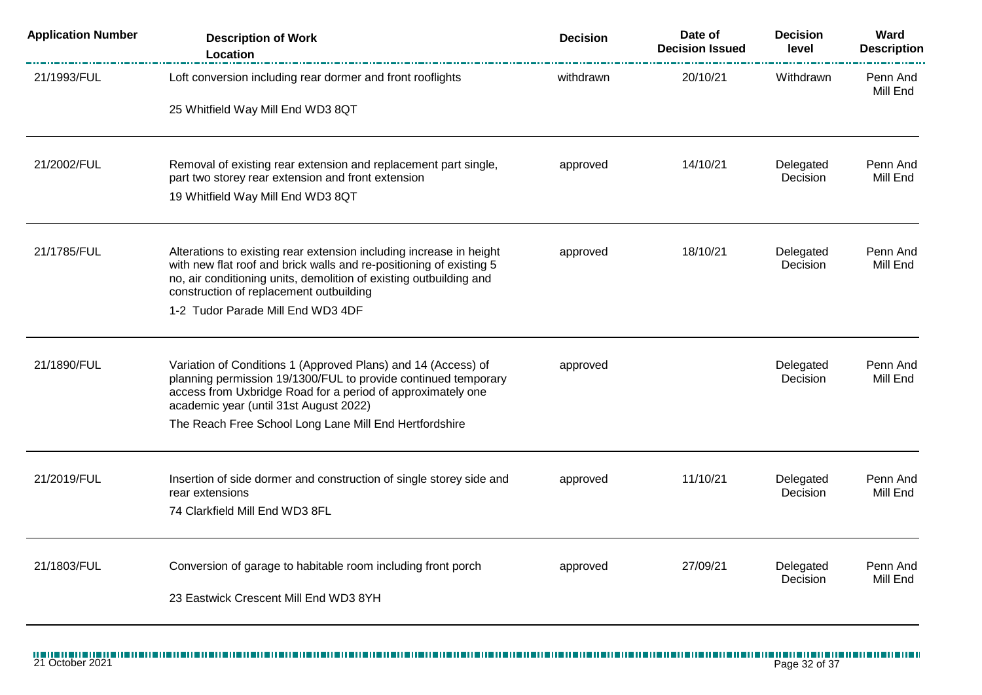| <b>Application Number</b> | <b>Description of Work</b><br>Location                                                                                                                                                                                                                      | <b>Decision</b> | Date of<br><b>Decision Issued</b> | <b>Decision</b><br>level | Ward<br><b>Description</b> |
|---------------------------|-------------------------------------------------------------------------------------------------------------------------------------------------------------------------------------------------------------------------------------------------------------|-----------------|-----------------------------------|--------------------------|----------------------------|
| 21/1993/FUL               | Loft conversion including rear dormer and front rooflights                                                                                                                                                                                                  | withdrawn       | 20/10/21                          | Withdrawn                | Penn And<br>Mill End       |
|                           | 25 Whitfield Way Mill End WD3 8QT                                                                                                                                                                                                                           |                 |                                   |                          |                            |
| 21/2002/FUL               | Removal of existing rear extension and replacement part single,<br>part two storey rear extension and front extension                                                                                                                                       | approved        | 14/10/21                          | Delegated<br>Decision    | Penn And<br>Mill End       |
|                           | 19 Whitfield Way Mill End WD3 8QT                                                                                                                                                                                                                           |                 |                                   |                          |                            |
| 21/1785/FUL               | Alterations to existing rear extension including increase in height<br>with new flat roof and brick walls and re-positioning of existing 5<br>no, air conditioning units, demolition of existing outbuilding and<br>construction of replacement outbuilding | approved        | 18/10/21                          | Delegated<br>Decision    | Penn And<br>Mill End       |
|                           | 1-2 Tudor Parade Mill End WD3 4DF                                                                                                                                                                                                                           |                 |                                   |                          |                            |
| 21/1890/FUL               | Variation of Conditions 1 (Approved Plans) and 14 (Access) of<br>planning permission 19/1300/FUL to provide continued temporary<br>access from Uxbridge Road for a period of approximately one<br>academic year (until 31st August 2022)                    | approved        |                                   | Delegated<br>Decision    | Penn And<br>Mill End       |
|                           | The Reach Free School Long Lane Mill End Hertfordshire                                                                                                                                                                                                      |                 |                                   |                          |                            |
| 21/2019/FUL               | Insertion of side dormer and construction of single storey side and<br>rear extensions                                                                                                                                                                      | approved        | 11/10/21                          | Delegated<br>Decision    | Penn And<br>Mill End       |
|                           | 74 Clarkfield Mill End WD3 8FL                                                                                                                                                                                                                              |                 |                                   |                          |                            |
| 21/1803/FUL               | Conversion of garage to habitable room including front porch                                                                                                                                                                                                | approved        | 27/09/21                          | Delegated<br>Decision    | Penn And<br>Mill End       |
|                           | 23 Eastwick Crescent Mill End WD3 8YH                                                                                                                                                                                                                       |                 |                                   |                          |                            |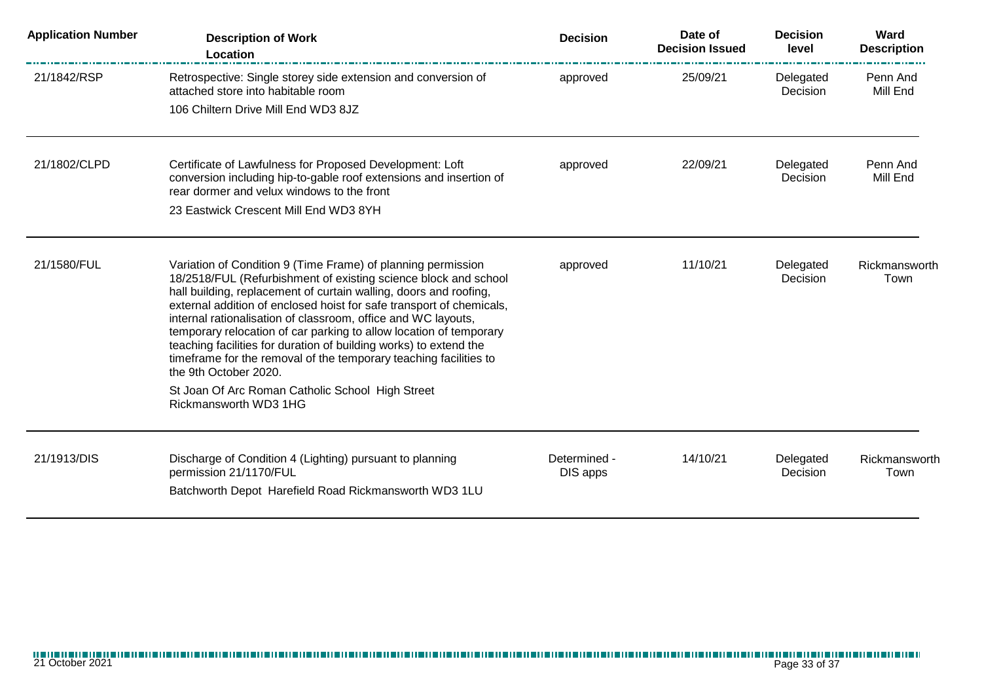| <b>Application Number</b> | <b>Description of Work</b><br>Location                                                                                                                                                                                                                                                                                                                                                                                                                                                                                                                                                                                                                              | <b>Decision</b>          | Date of<br><b>Decision Issued</b> | <b>Decision</b><br>level | Ward<br><b>Description</b> |
|---------------------------|---------------------------------------------------------------------------------------------------------------------------------------------------------------------------------------------------------------------------------------------------------------------------------------------------------------------------------------------------------------------------------------------------------------------------------------------------------------------------------------------------------------------------------------------------------------------------------------------------------------------------------------------------------------------|--------------------------|-----------------------------------|--------------------------|----------------------------|
| 21/1842/RSP               | Retrospective: Single storey side extension and conversion of<br>attached store into habitable room<br>106 Chiltern Drive Mill End WD3 8JZ                                                                                                                                                                                                                                                                                                                                                                                                                                                                                                                          | approved                 | 25/09/21                          | Delegated<br>Decision    | Penn And<br>Mill End       |
| 21/1802/CLPD              | Certificate of Lawfulness for Proposed Development: Loft<br>conversion including hip-to-gable roof extensions and insertion of<br>rear dormer and velux windows to the front<br>23 Eastwick Crescent Mill End WD3 8YH                                                                                                                                                                                                                                                                                                                                                                                                                                               | approved                 | 22/09/21                          | Delegated<br>Decision    | Penn And<br>Mill End       |
| 21/1580/FUL               | Variation of Condition 9 (Time Frame) of planning permission<br>18/2518/FUL (Refurbishment of existing science block and school<br>hall building, replacement of curtain walling, doors and roofing,<br>external addition of enclosed hoist for safe transport of chemicals,<br>internal rationalisation of classroom, office and WC layouts,<br>temporary relocation of car parking to allow location of temporary<br>teaching facilities for duration of building works) to extend the<br>timeframe for the removal of the temporary teaching facilities to<br>the 9th October 2020.<br>St Joan Of Arc Roman Catholic School High Street<br>Rickmansworth WD3 1HG | approved                 | 11/10/21                          | Delegated<br>Decision    | Rickmansworth<br>Town      |
| 21/1913/DIS               | Discharge of Condition 4 (Lighting) pursuant to planning<br>permission 21/1170/FUL<br>Batchworth Depot Harefield Road Rickmansworth WD3 1LU                                                                                                                                                                                                                                                                                                                                                                                                                                                                                                                         | Determined -<br>DIS apps | 14/10/21                          | Delegated<br>Decision    | Rickmansworth<br>Town      |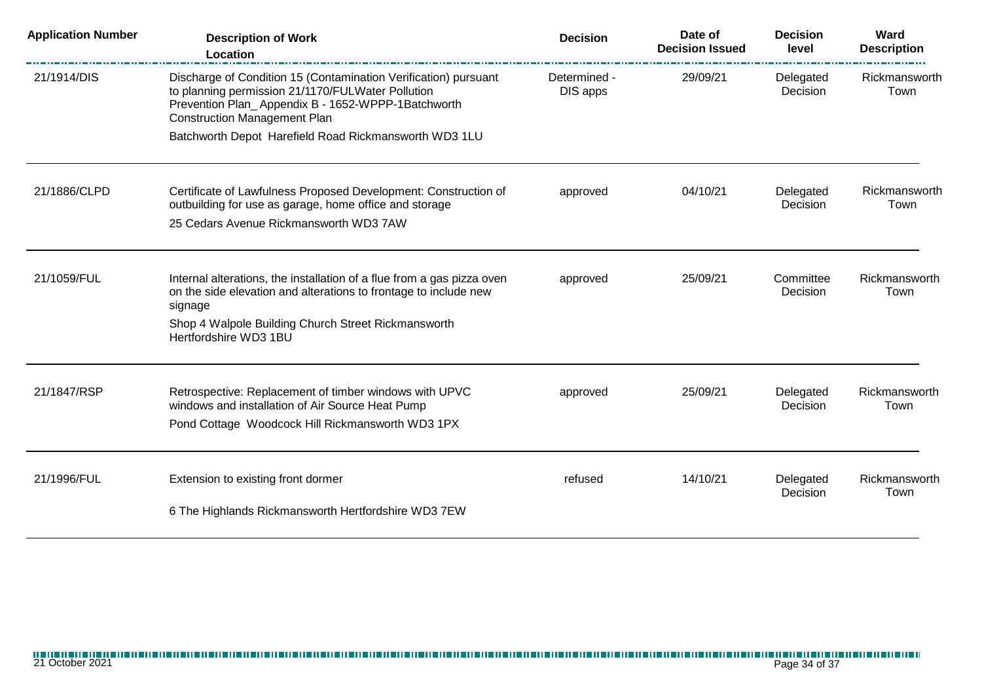| <b>Application Number</b> | <b>Description of Work</b><br>Location                                                                                                                                                                            | <b>Decision</b>          | Date of<br><b>Decision Issued</b> | <b>Decision</b><br>level | Ward<br><b>Description</b> |
|---------------------------|-------------------------------------------------------------------------------------------------------------------------------------------------------------------------------------------------------------------|--------------------------|-----------------------------------|--------------------------|----------------------------|
| 21/1914/DIS               | Discharge of Condition 15 (Contamination Verification) pursuant<br>to planning permission 21/1170/FULWater Pollution<br>Prevention Plan_Appendix B - 1652-WPPP-1Batchworth<br><b>Construction Management Plan</b> | Determined -<br>DIS apps | 29/09/21                          | Delegated<br>Decision    | Rickmansworth<br>Town      |
|                           | Batchworth Depot Harefield Road Rickmansworth WD3 1LU                                                                                                                                                             |                          |                                   |                          |                            |
| 21/1886/CLPD              | Certificate of Lawfulness Proposed Development: Construction of<br>outbuilding for use as garage, home office and storage                                                                                         | approved                 | 04/10/21                          | Delegated<br>Decision    | Rickmansworth<br>Town      |
|                           | 25 Cedars Avenue Rickmansworth WD3 7AW                                                                                                                                                                            |                          |                                   |                          |                            |
| 21/1059/FUL               | Internal alterations, the installation of a flue from a gas pizza oven<br>on the side elevation and alterations to frontage to include new<br>signage<br>Shop 4 Walpole Building Church Street Rickmansworth      | approved                 | 25/09/21                          | Committee<br>Decision    | Rickmansworth<br>Town      |
|                           | Hertfordshire WD3 1BU                                                                                                                                                                                             |                          |                                   |                          |                            |
| 21/1847/RSP               | Retrospective: Replacement of timber windows with UPVC<br>windows and installation of Air Source Heat Pump<br>Pond Cottage Woodcock Hill Rickmansworth WD3 1PX                                                    | approved                 | 25/09/21                          | Delegated<br>Decision    | Rickmansworth<br>Town      |
| 21/1996/FUL               | Extension to existing front dormer                                                                                                                                                                                | refused                  | 14/10/21                          | Delegated<br>Decision    | Rickmansworth<br>Town      |
|                           | 6 The Highlands Rickmansworth Hertfordshire WD3 7EW                                                                                                                                                               |                          |                                   |                          |                            |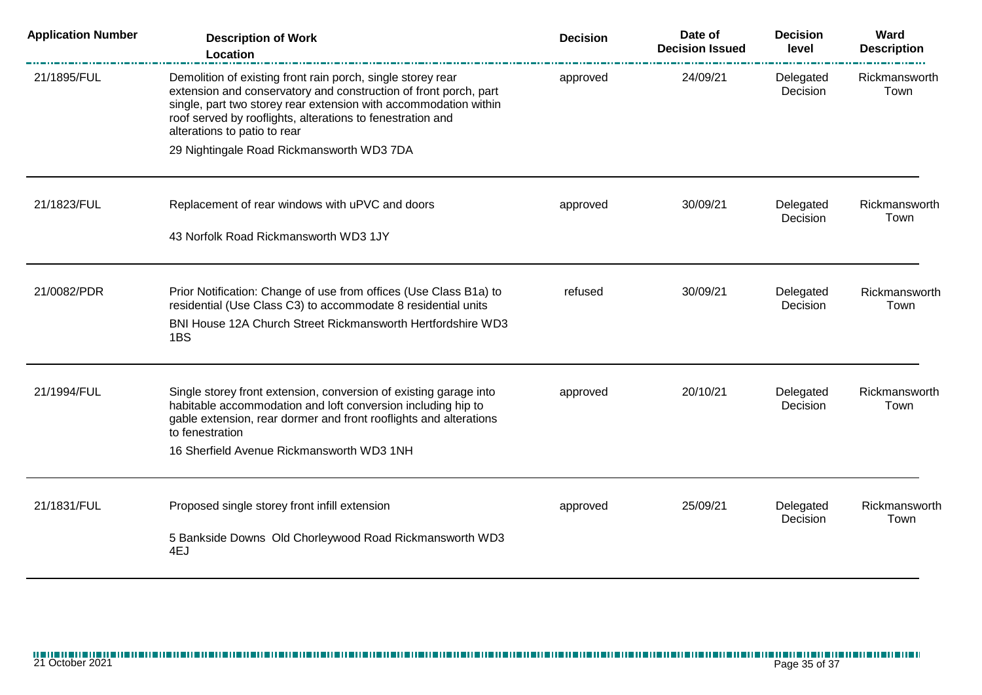| <b>Application Number</b> | <b>Description of Work</b><br>Location                                                                                                                                                                                                                                                            | <b>Decision</b> | Date of<br><b>Decision Issued</b> | <b>Decision</b><br>level | Ward<br><b>Description</b> |
|---------------------------|---------------------------------------------------------------------------------------------------------------------------------------------------------------------------------------------------------------------------------------------------------------------------------------------------|-----------------|-----------------------------------|--------------------------|----------------------------|
| 21/1895/FUL               | Demolition of existing front rain porch, single storey rear<br>extension and conservatory and construction of front porch, part<br>single, part two storey rear extension with accommodation within<br>roof served by rooflights, alterations to fenestration and<br>alterations to patio to rear | approved        | 24/09/21                          | Delegated<br>Decision    | Rickmansworth<br>Town      |
|                           | 29 Nightingale Road Rickmansworth WD3 7DA                                                                                                                                                                                                                                                         |                 |                                   |                          |                            |
| 21/1823/FUL               | Replacement of rear windows with uPVC and doors<br>43 Norfolk Road Rickmansworth WD3 1JY                                                                                                                                                                                                          | approved        | 30/09/21                          | Delegated<br>Decision    | Rickmansworth<br>Town      |
|                           |                                                                                                                                                                                                                                                                                                   |                 |                                   |                          |                            |
| 21/0082/PDR               | Prior Notification: Change of use from offices (Use Class B1a) to<br>residential (Use Class C3) to accommodate 8 residential units<br>BNI House 12A Church Street Rickmansworth Hertfordshire WD3<br>1BS                                                                                          | refused         | 30/09/21                          | Delegated<br>Decision    | Rickmansworth<br>Town      |
| 21/1994/FUL               | Single storey front extension, conversion of existing garage into<br>habitable accommodation and loft conversion including hip to<br>gable extension, rear dormer and front rooflights and alterations<br>to fenestration<br>16 Sherfield Avenue Rickmansworth WD3 1NH                            | approved        | 20/10/21                          | Delegated<br>Decision    | Rickmansworth<br>Town      |
| 21/1831/FUL               | Proposed single storey front infill extension                                                                                                                                                                                                                                                     | approved        | 25/09/21                          | Delegated<br>Decision    | Rickmansworth<br>Town      |
|                           | 5 Bankside Downs Old Chorleywood Road Rickmansworth WD3<br>4EJ                                                                                                                                                                                                                                    |                 |                                   |                          |                            |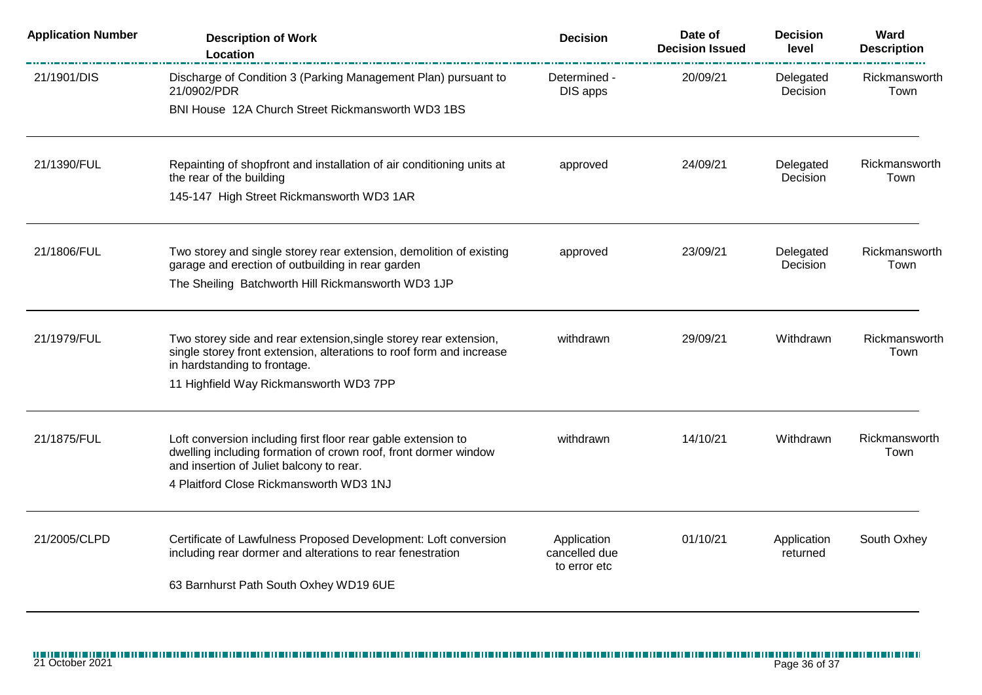| <b>Application Number</b> | <b>Description of Work</b><br>Location                                                                                                                                                                                  | <b>Decision</b>                              | Date of<br><b>Decision Issued</b> | <b>Decision</b><br>level | Ward<br><b>Description</b> |
|---------------------------|-------------------------------------------------------------------------------------------------------------------------------------------------------------------------------------------------------------------------|----------------------------------------------|-----------------------------------|--------------------------|----------------------------|
| 21/1901/DIS               | Discharge of Condition 3 (Parking Management Plan) pursuant to<br>21/0902/PDR                                                                                                                                           | Determined -<br>DIS apps                     | 20/09/21                          | Delegated<br>Decision    | Rickmansworth<br>Town      |
|                           | BNI House 12A Church Street Rickmansworth WD3 1BS                                                                                                                                                                       |                                              |                                   |                          |                            |
| 21/1390/FUL               | Repainting of shopfront and installation of air conditioning units at<br>the rear of the building                                                                                                                       | approved                                     | 24/09/21                          | Delegated<br>Decision    | Rickmansworth<br>Town      |
|                           | 145-147 High Street Rickmansworth WD3 1AR                                                                                                                                                                               |                                              |                                   |                          |                            |
| 21/1806/FUL               | Two storey and single storey rear extension, demolition of existing<br>garage and erection of outbuilding in rear garden                                                                                                | approved                                     | 23/09/21                          | Delegated<br>Decision    | Rickmansworth<br>Town      |
|                           | The Sheiling Batchworth Hill Rickmansworth WD3 1JP                                                                                                                                                                      |                                              |                                   |                          |                            |
| 21/1979/FUL               | Two storey side and rear extension, single storey rear extension,<br>single storey front extension, alterations to roof form and increase<br>in hardstanding to frontage.                                               | withdrawn                                    | 29/09/21                          | Withdrawn                | Rickmansworth<br>Town      |
|                           | 11 Highfield Way Rickmansworth WD3 7PP                                                                                                                                                                                  |                                              |                                   |                          |                            |
| 21/1875/FUL               | Loft conversion including first floor rear gable extension to<br>dwelling including formation of crown roof, front dormer window<br>and insertion of Juliet balcony to rear.<br>4 Plaitford Close Rickmansworth WD3 1NJ | withdrawn                                    | 14/10/21                          | Withdrawn                | Rickmansworth<br>Town      |
| 21/2005/CLPD              | Certificate of Lawfulness Proposed Development: Loft conversion<br>including rear dormer and alterations to rear fenestration<br>63 Barnhurst Path South Oxhey WD19 6UE                                                 | Application<br>cancelled due<br>to error etc | 01/10/21                          | Application<br>returned  | South Oxhey                |